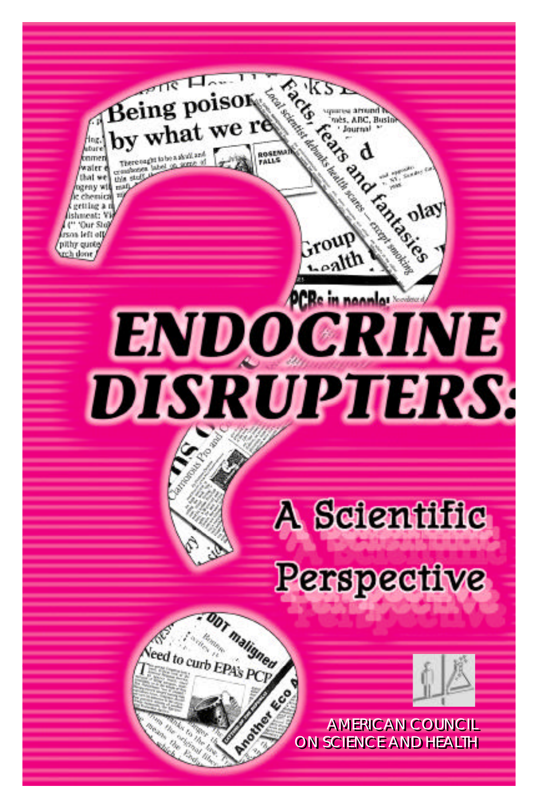**SIKS** Being poisor a around by what we re mès, ABC, Busli Journal ing, ubur **ROSEN PARTIES** tinme water Jack 61 this stud that w azeny wt olay ishment: 'Our Sto roup rson left off pithy quote rch done **PCRe in nonnier ENDOGRINE DISTRUPTIERS:** A Scientific **Perspective** Arian Asia AMERICAN COUNCIL ON SCIENCE AND HEALTH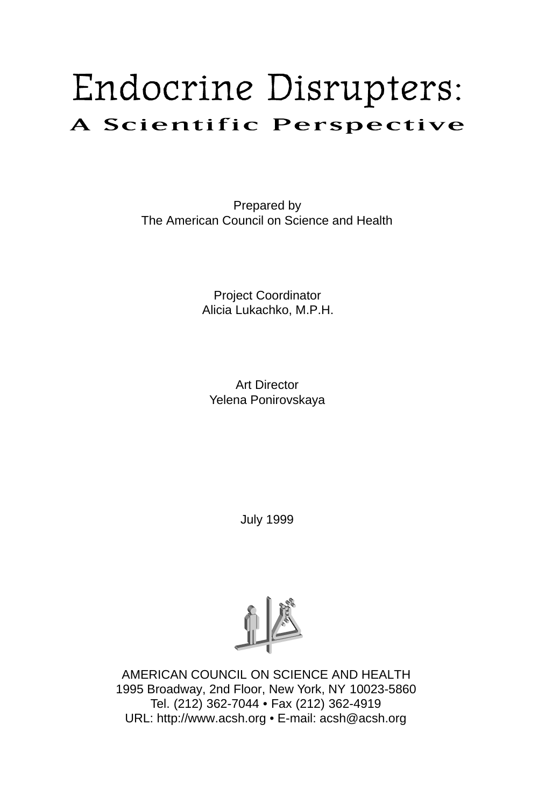# Endocrine Disrupters: A Scientific Perspective

Prepared by The American Council on Science and Health

> Project Coordinator Alicia Lukachko, M.P.H.

Art Director Yelena Ponirovskaya

July 1999



AMERICAN COUNCIL ON SCIENCE AND HEALTH 1995 Broadway, 2nd Floor, New York, NY 10023-5860 Tel. (212) 362-7044 • Fax (212) 362-4919 URL: http://www.acsh.org • E-mail: acsh@acsh.org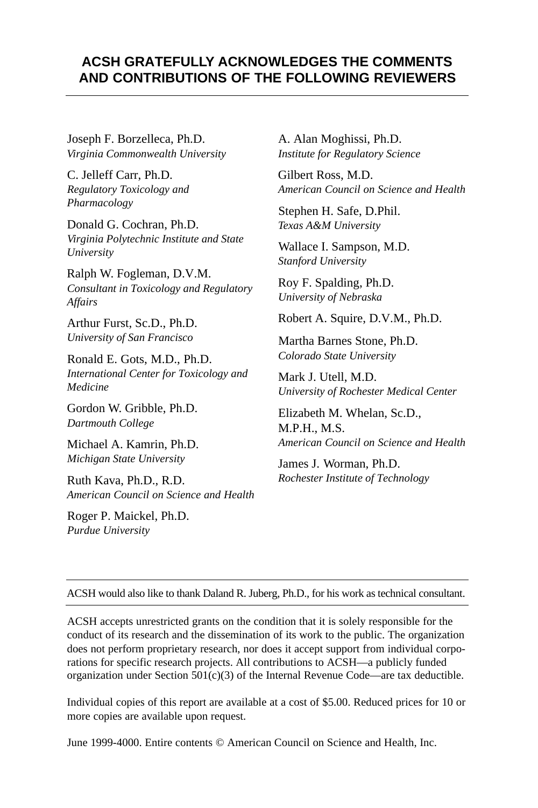## **ACSH GRATEFULLY ACKNOWLEDGES THE COMMENTS AND CONTRIBUTIONS OF THE FOLLOWING REVIEWERS**

Joseph F. Borzelleca, Ph.D. *Virginia Commonwealth University*

C. Jelleff Carr, Ph.D. *Regulatory Toxicology and Pharmacology*

Donald G. Cochran, Ph.D. *Virginia Polytechnic Institute and State University*

Ralph W. Fogleman, D.V.M. *Consultant in Toxicology and Regulatory Affairs*

Arthur Furst, Sc.D., Ph.D. *University of San Francisco*

Ronald E. Gots, M.D., Ph.D. *International Center for Toxicology and Medicine*

Gordon W. Gribble, Ph.D. *Dartmouth College*

Michael A. Kamrin, Ph.D. *Michigan State University*

Ruth Kava, Ph.D., R.D. *American Council on Science and Health*

Roger P. Maickel, Ph.D. *Purdue University*

A. Alan Moghissi, Ph.D. *Institute for Regulatory Science*

Gilbert Ross, M.D. *American Council on Science and Health*

Stephen H. Safe, D.Phil. *Texas A&M University*

Wallace I. Sampson, M.D. *Stanford University*

Roy F. Spalding, Ph.D. *University of Nebraska*

Robert A. Squire, D.V.M., Ph.D.

Martha Barnes Stone, Ph.D. *Colorado State University*

Mark J. Utell, M.D. *University of Rochester Medical Center*

Elizabeth M. Whelan, Sc.D., M.P.H., M.S. *American Council on Science and Health*

James J. Worman, Ph.D. *Rochester Institute of Technology*

ACSH would also like to thank Daland R. Juberg, Ph.D., for his work as technical consultant.

ACSH accepts unrestricted grants on the condition that it is solely responsible for the conduct of its research and the dissemination of its work to the public. The organization does not perform proprietary research, nor does it accept support from individual corporations for specific research projects. All contributions to ACSH—a publicly funded organization under Section  $501(c)(3)$  of the Internal Revenue Code—are tax deductible.

Individual copies of this report are available at a cost of \$5.00. Reduced prices for 10 or more copies are available upon request.

June 1999-4000. Entire contents © American Council on Science and Health, Inc.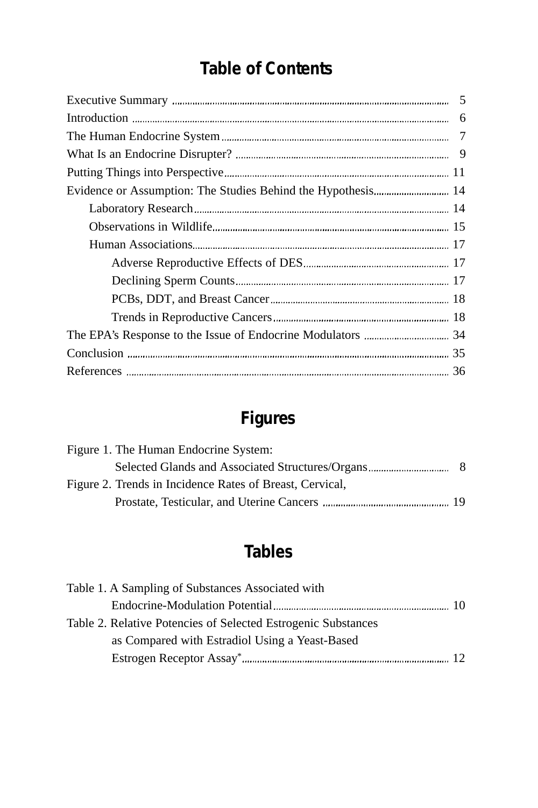# **Table of Contents**

# **Figures**

| Figure 1. The Human Endocrine System:                    |  |
|----------------------------------------------------------|--|
|                                                          |  |
| Figure 2. Trends in Incidence Rates of Breast, Cervical, |  |
|                                                          |  |

# **Tables**

| Table 1. A Sampling of Substances Associated with             |  |
|---------------------------------------------------------------|--|
|                                                               |  |
| Table 2. Relative Potencies of Selected Estrogenic Substances |  |
| as Compared with Estradiol Using a Yeast-Based                |  |
|                                                               |  |
|                                                               |  |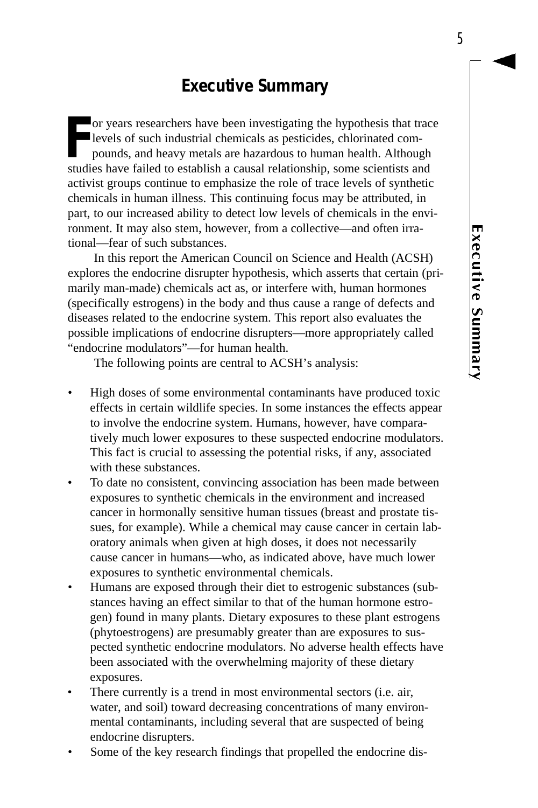# **Executive Summary**

For years researchers have been investigating the hypothesis that tracelevels of such industrial chemicals as pesticides, chlorinated compounds, and heavy metals are hazardous to human health. Although studies have failed or years researchers have been investigating the hypothesis that trace levels of such industrial chemicals as pesticides, chlorinated compounds, and heavy metals are hazardous to human health. Although activist groups continue to emphasize the role of trace levels of synthetic chemicals in human illness. This continuing focus may be attributed, in part, to our increased ability to detect low levels of chemicals in the environment. It may also stem, however, from a collective—and often irrational—fear of such substances.

In this report the American Council on Science and Health (ACSH) explores the endocrine disrupter hypothesis, which asserts that certain (primarily man-made) chemicals act as, or interfere with, human hormones (specifically estrogens) in the body and thus cause a range of defects and diseases related to the endocrine system. This report also evaluates the possible implications of endocrine disrupters—more appropriately called "endocrine modulators"—for human health.

The following points are central to ACSH's analysis:

- High doses of some environmental contaminants have produced toxic effects in certain wildlife species. In some instances the effects appear to involve the endocrine system. Humans, however, have comparatively much lower exposures to these suspected endocrine modulators. This fact is crucial to assessing the potential risks, if any, associated with these substances.
- To date no consistent, convincing association has been made between exposures to synthetic chemicals in the environment and increased cancer in hormonally sensitive human tissues (breast and prostate tissues, for example). While a chemical may cause cancer in certain laboratory animals when given at high doses, it does not necessarily cause cancer in humans—who, as indicated above, have much lower exposures to synthetic environmental chemicals.
- Humans are exposed through their diet to estrogenic substances (substances having an effect similar to that of the human hormone estrogen) found in many plants. Dietary exposures to these plant estrogens (phytoestrogens) are presumably greater than are exposures to suspected synthetic endocrine modulators. No adverse health effects have been associated with the overwhelming majority of these dietary exposures.
- There currently is a trend in most environmental sectors (i.e. air, water, and soil) toward decreasing concentrations of many environmental contaminants, including several that are suspected of being endocrine disrupters.
- Some of the key research findings that propelled the endocrine dis-

5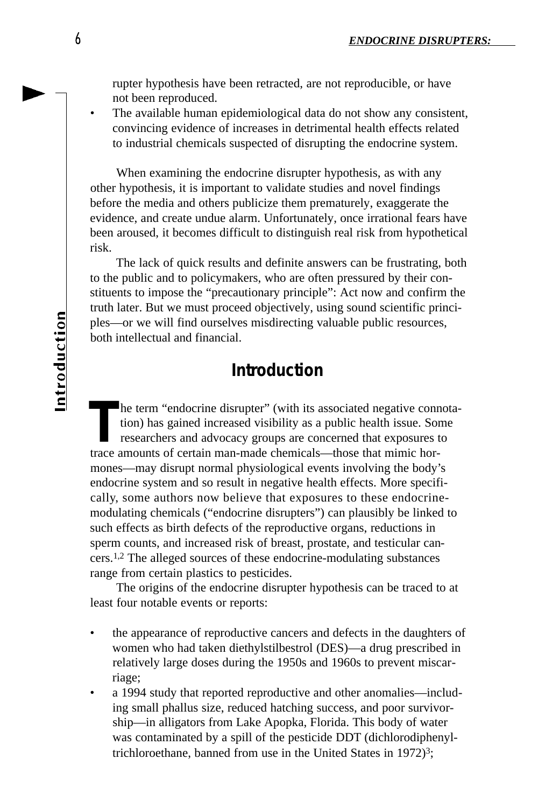rupter hypothesis have been retracted, are not reproducible, or have not been reproduced.

The available human epidemiological data do not show any consistent, convincing evidence of increases in detrimental health effects related to industrial chemicals suspected of disrupting the endocrine system.

When examining the endocrine disrupter hypothesis, as with any other hypothesis, it is important to validate studies and novel findings before the media and others publicize them prematurely, exaggerate the evidence, and create undue alarm. Unfortunately, once irrational fears have been aroused, it becomes difficult to distinguish real risk from hypothetical risk.

The lack of quick results and definite answers can be frustrating, both to the public and to policymakers, who are often pressured by their constituents to impose the "precautionary principle": Act now and confirm the truth later. But we must proceed objectively, using sound scientific principles—or we will find ourselves misdirecting valuable public resources, both intellectual and financial.

# **Introduction**

The term "endocrine disrupter" (with its associated negative connection) has gained increased visibility as a public health issue. Son researchers and advocacy groups are concerned that exposures t trace amounts of certain he term "endocrine disrupter" (with its associated negative connotation) has gained increased visibility as a public health issue. Some researchers and advocacy groups are concerned that exposures to mones—may disrupt normal physiological events involving the body's endocrine system and so result in negative health effects. More specifically, some authors now believe that exposures to these endocrinemodulating chemicals ("endocrine disrupters") can plausibly be linked to such effects as birth defects of the reproductive organs, reductions in sperm counts, and increased risk of breast, prostate, and testicular cancers.1,2 The alleged sources of these endocrine-modulating substances range from certain plastics to pesticides.

The origins of the endocrine disrupter hypothesis can be traced to at least four notable events or reports:

- the appearance of reproductive cancers and defects in the daughters of women who had taken diethylstilbestrol (DES)—a drug prescribed in relatively large doses during the 1950s and 1960s to prevent miscarriage;
- a 1994 study that reported reproductive and other anomalies—including small phallus size, reduced hatching success, and poor survivorship—in alligators from Lake Apopka, Florida. This body of water was contaminated by a spill of the pesticide DDT (dichlorodiphenyltrichloroethane, banned from use in the United States in 1972)<sup>3</sup>;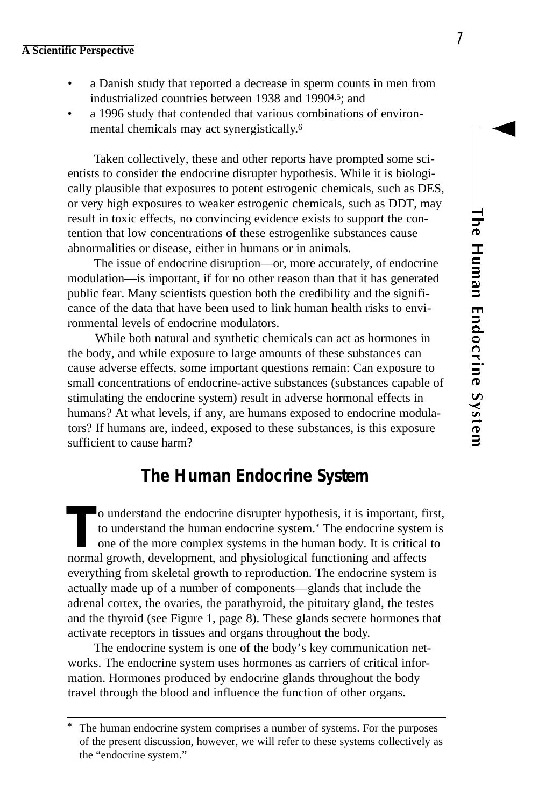# <u>The Human Endocrine System</u>

### **A Scientific Perspective**

- a Danish study that reported a decrease in sperm counts in men from industrialized countries between 1938 and 19904,5; and
- a 1996 study that contended that various combinations of environmental chemicals may act synergistically. 6

Taken collectively, these and other reports have prompted some scientists to consider the endocrine disrupter hypothesis. While it is biologically plausible that exposures to potent estrogenic chemicals, such as DES, or very high exposures to weaker estrogenic chemicals, such as DDT, may result in toxic effects, no convincing evidence exists to support the contention that low concentrations of these estrogenlike substances cause abnormalities or disease, either in humans or in animals.

The issue of endocrine disruption—or, more accurately, of endocrine modulation—is important, if for no other reason than that it has generated public fear. Many scientists question both the credibility and the significance of the data that have been used to link human health risks to environmental levels of endocrine modulators.

While both natural and synthetic chemicals can act as hormones in the body, and while exposure to large amounts of these substances can cause adverse effects, some important questions remain: Can exposure to small concentrations of endocrine-active substances (substances capable of stimulating the endocrine system) result in adverse hormonal effects in humans? At what levels, if any, are humans exposed to endocrine modulators? If humans are, indeed, exposed to these substances, is this exposure sufficient to cause harm?

# **The Human Endocrine System**

o understand the endocrine disrupter hypothesis, it is important, f<br>to understand the human endocrine system.<sup>\*</sup> The endocrine system<br>one of the more complex systems in the human body. It is critical<br>normal growth, develop o understand the endocrine disrupter hypothesis, it is important, first, to understand the human endocrine system.\* The endocrine system is one of the more complex systems in the human body. It is critical to everything from skeletal growth to reproduction. The endocrine system is actually made up of a number of components—glands that include the adrenal cortex, the ovaries, the parathyroid, the pituitary gland, the testes and the thyroid (see Figure 1, page 8). These glands secrete hormones that activate receptors in tissues and organs throughout the body.

The endocrine system is one of the body's key communication networks. The endocrine system uses hormones as carriers of critical information. Hormones produced by endocrine glands throughout the body travel through the blood and influence the function of other organs.

The human endocrine system comprises a number of systems. For the purposes of the present discussion, however, we will refer to these systems collectively as the "endocrine system."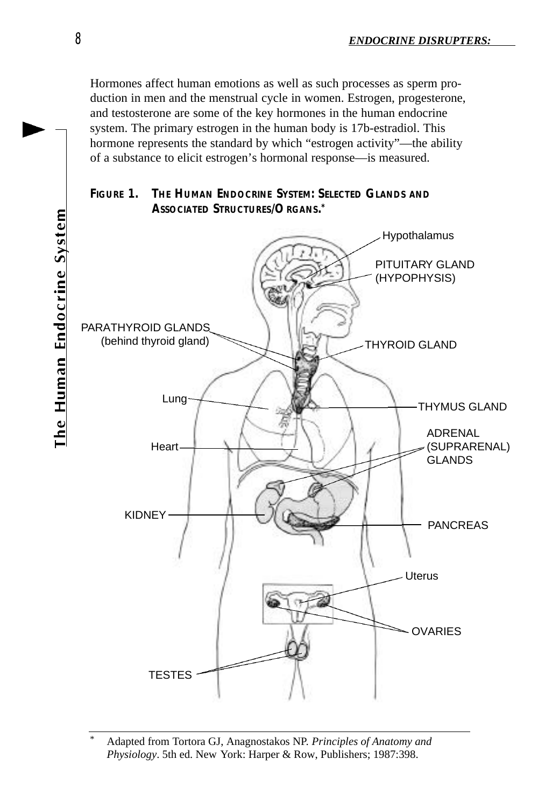Hormones affect human emotions as well as such processes as sperm production in men and the menstrual cycle in women. Estrogen, progesterone, and testosterone are some of the key hormones in the human endocrine system. The primary estrogen in the human body is 17b-estradiol. This hormone represents the standard by which "estrogen activity"—the ability of a substance to elicit estrogen's hormonal response—is measured.





<sup>\*</sup> Adapted from Tortora GJ, Anagnostakos NP. *Principles of Anatomy and Physiology*. 5th ed. New York: Harper & Row, Publishers; 1987:398.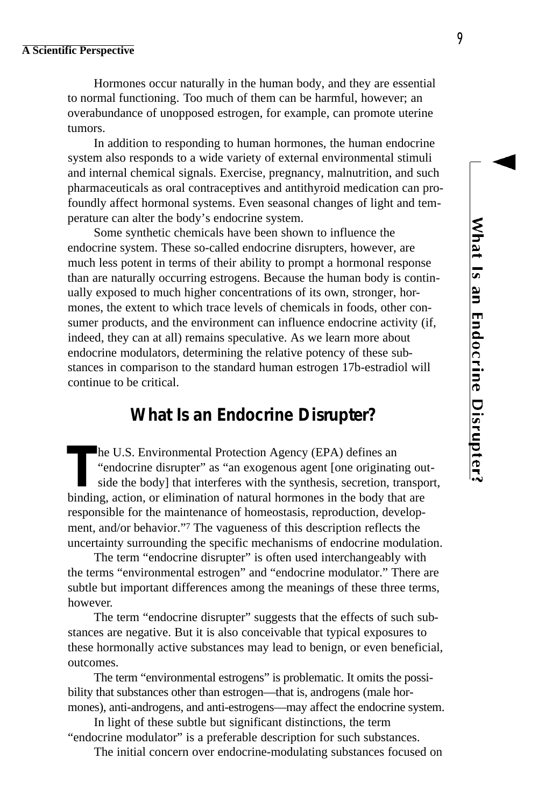Hormones occur naturally in the human body, and they are essential to normal functioning. Too much of them can be harmful, however; an overabundance of unopposed estrogen, for example, can promote uterine tumors.

In addition to responding to human hormones, the human endocrine system also responds to a wide variety of external environmental stimuli and internal chemical signals. Exercise, pregnancy, malnutrition, and such pharmaceuticals as oral contraceptives and antithyroid medication can profoundly affect hormonal systems. Even seasonal changes of light and temperature can alter the body's endocrine system.

Some synthetic chemicals have been shown to influence the endocrine system. These so-called endocrine disrupters, however, are much less potent in terms of their ability to prompt a hormonal response than are naturally occurring estrogens. Because the human body is continually exposed to much higher concentrations of its own, stronger, hormones, the extent to which trace levels of chemicals in foods, other consumer products, and the environment can influence endocrine activity (if, indeed, they can at all) remains speculative. As we learn more about endocrine modulators, determining the relative potency of these substances in comparison to the standard human estrogen 17b-estradiol will continue to be critical.

# **What Is an Endocrine Disrupter?**

The U.S. Environmental Protection Agency (EPA) defines an "endocrine disrupter" as "an exogenous agent [one originating ou side the body] that interferes with the synthesis, secretion, transpobinding, action, or eliminatio he U.S. Environmental Protection Agency (EPA) defines an "endocrine disrupter" as "an exogenous agent [one originating outside the body] that interferes with the synthesis, secretion, transport, responsible for the maintenance of homeostasis, reproduction, development, and/or behavior."<sup>7</sup> The vagueness of this description reflects the uncertainty surrounding the specific mechanisms of endocrine modulation.

The term "endocrine disrupter" is often used interchangeably with the terms "environmental estrogen" and "endocrine modulator." There are subtle but important differences among the meanings of these three terms, however.

The term "endocrine disrupter" suggests that the effects of such substances are negative. But it is also conceivable that typical exposures to these hormonally active substances may lead to benign, or even beneficial, outcomes.

The term "environmental estrogens" is problematic. It omits the possibility that substances other than estrogen—that is, androgens (male hormones), anti-androgens, and anti-estrogens—may affect the endocrine system.

In light of these subtle but significant distinctions, the term "endocrine modulator" is a preferable description for such substances.

The initial concern over endocrine-modulating substances focused on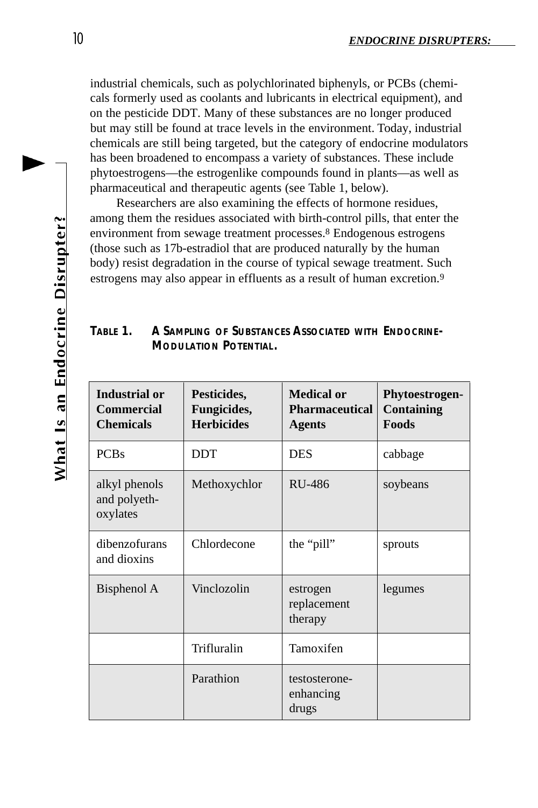industrial chemicals, such as polychlorinated biphenyls, or PCBs (chemicals formerly used as coolants and lubricants in electrical equipment), and on the pesticide DDT. Many of these substances are no longer produced but may still be found at trace levels in the environment. Today, industrial chemicals are still being targeted, but the category of endocrine modulators has been broadened to encompass a variety of substances. These include phytoestrogens—the estrogenlike compounds found in plants—as well as pharmaceutical and therapeutic agents (see Table 1, below).

Researchers are also examining the effects of hormone residues, among them the residues associated with birth-control pills, that enter the environment from sewage treatment processes.<sup>8</sup> Endogenous estrogens (those such as 17b-estradiol that are produced naturally by the human body) resist degradation in the course of typical sewage treatment. Such estrogens may also appear in effluents as a result of human excretion.<sup>9</sup>

| Table 1. | A SAMPLING OF SUBSTANCES ASSOCIATED WITH ENDOCRINE- |
|----------|-----------------------------------------------------|
|          | MODULATION POTENTIAL.                               |

| <b>Industrial or</b><br><b>Commercial</b><br><b>Chemicals</b> | Pesticides,<br>Fungicides,<br><b>Herbicides</b> | <b>Medical or</b><br><b>Pharmaceutical</b><br><b>Agents</b> | Phytoestrogen-<br>Containing<br>Foods |
|---------------------------------------------------------------|-------------------------------------------------|-------------------------------------------------------------|---------------------------------------|
| <b>PCBs</b>                                                   | <b>DDT</b>                                      | <b>DES</b>                                                  | cabbage                               |
| alkyl phenols<br>and polyeth-<br>oxylates                     | Methoxychlor                                    | RU-486                                                      | soybeans                              |
| dibenzofurans<br>and dioxins                                  | Chlordecone                                     | the "pill"                                                  | sprouts                               |
| Bisphenol A                                                   | Vinclozolin                                     | estrogen<br>replacement<br>therapy                          | legumes                               |
|                                                               | Trifluralin                                     | Tamoxifen                                                   |                                       |
|                                                               | Parathion                                       | testosterone-<br>enhancing<br>drugs                         |                                       |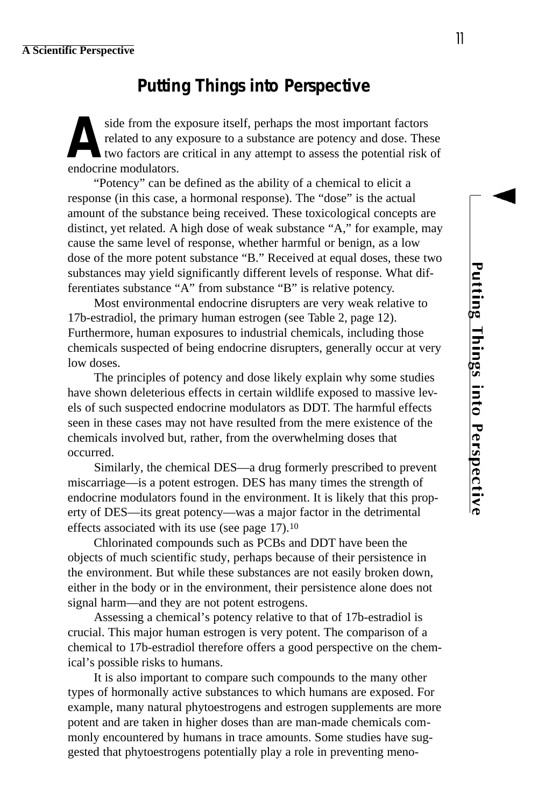# **Putting Things into Perspective**

A side from the experience the set of two factors are endocrine modulators. side from the exposure itself, perhaps the most important factors related to any exposure to a substance are potency and dose. These two factors are critical in any attempt to assess the potential risk of

"Potency" can be defined as the ability of a chemical to elicit a response (in this case, a hormonal response). The "dose" is the actual amount of the substance being received. These toxicological concepts are distinct, yet related. A high dose of weak substance "A," for example, may cause the same level of response, whether harmful or benign, as a low dose of the more potent substance "B." Received at equal doses, these two substances may yield significantly different levels of response. What differentiates substance "A" from substance "B" is relative potency.

Most environmental endocrine disrupters are very weak relative to 17b-estradiol, the primary human estrogen (see Table 2, page 12). Furthermore, human exposures to industrial chemicals, including those chemicals suspected of being endocrine disrupters, generally occur at very low doses.

The principles of potency and dose likely explain why some studies have shown deleterious effects in certain wildlife exposed to massive levels of such suspected endocrine modulators as DDT. The harmful effects seen in these cases may not have resulted from the mere existence of the chemicals involved but, rather, from the overwhelming doses that occurred.

Similarly, the chemical DES—a drug formerly prescribed to prevent miscarriage—is a potent estrogen. DES has many times the strength of endocrine modulators found in the environment. It is likely that this property of DES—its great potency—was a major factor in the detrimental effects associated with its use (see page 17).<sup>10</sup>

Chlorinated compounds such as PCBs and DDT have been the objects of much scientific study, perhaps because of their persistence in the environment. But while these substances are not easily broken down, either in the body or in the environment, their persistence alone does not signal harm—and they are not potent estrogens.

Assessing a chemical's potency relative to that of 17b-estradiol is crucial. This major human estrogen is very potent. The comparison of a chemical to 17b-estradiol therefore offers a good perspective on the chemical's possible risks to humans.

It is also important to compare such compounds to the many other types of hormonally active substances to which humans are exposed. For example, many natural phytoestrogens and estrogen supplements are more potent and are taken in higher doses than are man-made chemicals commonly encountered by humans in trace amounts. Some studies have suggested that phytoestrogens potentially play a role in preventing meno11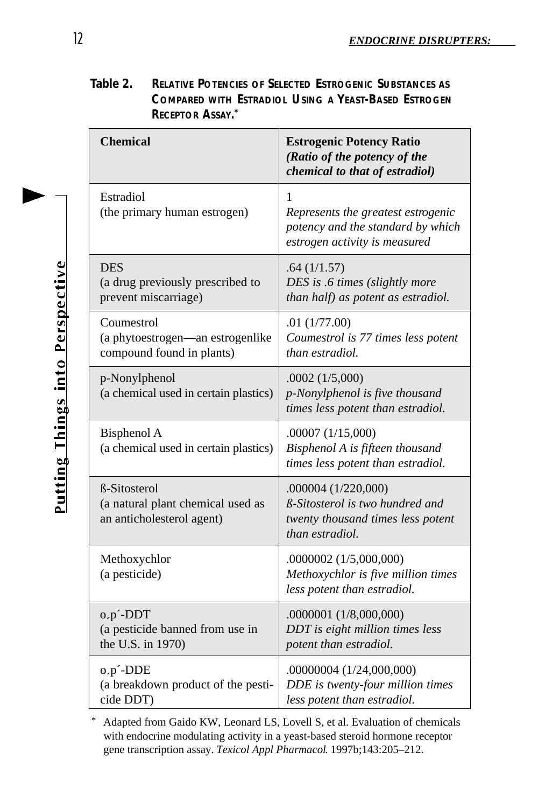**Table 2. RELATIVE POTENCIES OF SELECTED ESTROGENIC SUBSTANCES AS COMPARED WITH ESTRADIOL USING A YEAST-BASED ESTROGEN RECEPTOR ASSAY. \***

| <b>Chemical</b>                                                                       | <b>Estrogenic Potency Ratio</b><br>(Ratio of the potency of the<br>chemical to that of estradiol)                     |
|---------------------------------------------------------------------------------------|-----------------------------------------------------------------------------------------------------------------------|
| Estradiol<br>(the primary human estrogen)                                             | 1<br>Represents the greatest estrogenic<br>potency and the standard by which<br>estrogen activity is measured         |
| <b>DES</b><br>(a drug previously prescribed to<br>prevent miscarriage)                | .64(1/1.57)<br>DES is .6 times (slightly more<br>than half) as potent as estradiol.                                   |
| Coumestrol<br>(a phytoestrogen-an estrogenlike<br>compound found in plants)           | .01(1/77.00)<br>Coumestrol is 77 times less potent<br>than estradiol.                                                 |
| p-Nonylphenol<br>(a chemical used in certain plastics)                                | .0002(1/5,000)<br>p-Nonylphenol is five thousand<br>times less potent than estradiol.                                 |
| <b>Bisphenol A</b><br>(a chemical used in certain plastics)                           | .00007 (1/15,000)<br>Bisphenol A is fifteen thousand<br>times less potent than estradiol.                             |
| <b>B-Sitosterol</b><br>(a natural plant chemical used as<br>an anticholesterol agent) | .000004 (1/220,000)<br>$\beta$ -Sitosterol is two hundred and<br>twenty thousand times less potent<br>than estradiol. |
| Methoxychlor<br>(a pesticide)                                                         | .0000002 (1/5,000,000)<br>Methoxychlor is five million times<br>less potent than estradiol.                           |
| o,p <sup>-</sup> -DDT<br>(a pesticide banned from use in<br>the U.S. in 1970)         | .0000001 (1/8,000,000)<br>DDT is eight million times less<br>potent than estradiol.                                   |
| o,p <sup>2</sup> -DDE<br>(a breakdown product of the pesti-<br>cide DDT)              | .00000004 (1/24,000,000)<br>DDE is twenty-four million times<br>less potent than estradiol.                           |

Adapted from Gaido KW, Leonard LS, Lovell S, et al. Evaluation of chemicals with endocrine modulating activity in a yeast-based steroid hormone receptor gene transcription assay. *Texicol Appl Pharmacol*. 1997b;143:205–212.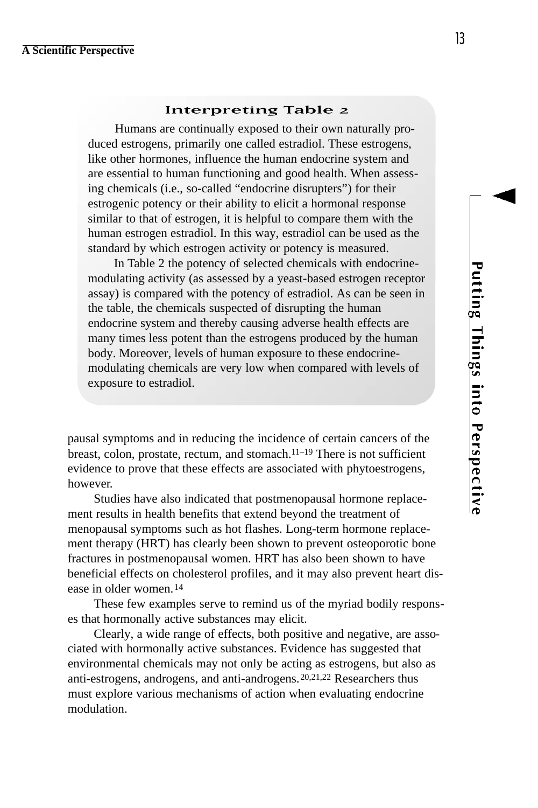### **Interpreting Table 2**

Humans are continually exposed to their own naturally produced estrogens, primarily one called estradiol. These estrogens, like other hormones, influence the human endocrine system and are essential to human functioning and good health. When assessing chemicals (i.e., so-called "endocrine disrupters") for their estrogenic potency or their ability to elicit a hormonal response similar to that of estrogen, it is helpful to compare them with the human estrogen estradiol. In this way, estradiol can be used as the standard by which estrogen activity or potency is measured.

In Table 2 the potency of selected chemicals with endocrinemodulating activity (as assessed by a yeast-based estrogen receptor assay) is compared with the potency of estradiol. As can be seen in the table, the chemicals suspected of disrupting the human endocrine system and thereby causing adverse health effects are many times less potent than the estrogens produced by the human body. Moreover, levels of human exposure to these endocrinemodulating chemicals are very low when compared with levels of exposure to estradiol.

pausal symptoms and in reducing the incidence of certain cancers of the breast, colon, prostate, rectum, and stomach.11–19 There is not sufficient evidence to prove that these effects are associated with phytoestrogens, however.

Studies have also indicated that postmenopausal hormone replacement results in health benefits that extend beyond the treatment of menopausal symptoms such as hot flashes. Long-term hormone replacement therapy (HRT) has clearly been shown to prevent osteoporotic bone fractures in postmenopausal women. HRT has also been shown to have beneficial effects on cholesterol profiles, and it may also prevent heart disease in older women.<sup>14</sup>

These few examples serve to remind us of the myriad bodily responses that hormonally active substances may elicit.

Clearly, a wide range of effects, both positive and negative, are associated with hormonally active substances. Evidence has suggested that environmental chemicals may not only be acting as estrogens, but also as anti-estrogens, androgens, and anti-androgens.20,21,22 Researchers thus must explore various mechanisms of action when evaluating endocrine modulation.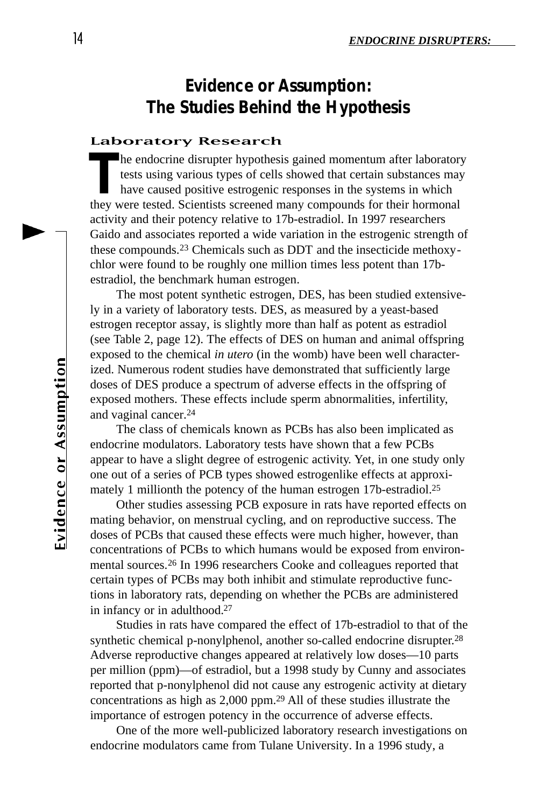# **Evidence or Assumption: The Studies Behind the Hypothesis**

### **Laboratory Research**

The endocrine disrupter hypothesis gained momentum after laborator tests using various types of cells showed that certain substances may have caused positive estrogenic responses in the systems in which they were tested. S he endocrine disrupter hypothesis gained momentum after laboratory tests using various types of cells showed that certain substances may have caused positive estrogenic responses in the systems in which activity and their potency relative to 17b-estradiol. In 1997 researchers Gaido and associates reported a wide variation in the estrogenic strength of these compounds.<sup>23</sup> Chemicals such as DDT and the insecticide methoxychlor were found to be roughly one million times less potent than 17bestradiol, the benchmark human estrogen.

The most potent synthetic estrogen, DES, has been studied extensively in a variety of laboratory tests. DES, as measured by a yeast-based estrogen receptor assay, is slightly more than half as potent as estradiol (see Table 2, page 12). The effects of DES on human and animal offspring exposed to the chemical *in utero* (in the womb) have been well characterized. Numerous rodent studies have demonstrated that sufficiently large doses of DES produce a spectrum of adverse effects in the offspring of exposed mothers. These effects include sperm abnormalities, infertility, and vaginal cancer. 24

The class of chemicals known as PCBs has also been implicated as endocrine modulators. Laboratory tests have shown that a few PCBs appear to have a slight degree of estrogenic activity. Yet, in one study only one out of a series of PCB types showed estrogenlike effects at approximately 1 millionth the potency of the human estrogen 17b-estradiol.25

Other studies assessing PCB exposure in rats have reported effects on mating behavior, on menstrual cycling, and on reproductive success. The doses of PCBs that caused these effects were much higher, however, than concentrations of PCBs to which humans would be exposed from environmental sources.<sup>26</sup> In 1996 researchers Cooke and colleagues reported that certain types of PCBs may both inhibit and stimulate reproductive functions in laboratory rats, depending on whether the PCBs are administered in infancy or in adulthood.<sup>27</sup>

Studies in rats have compared the effect of 17b-estradiol to that of the synthetic chemical p-nonylphenol, another so-called endocrine disrupter.<sup>28</sup> Adverse reproductive changes appeared at relatively low doses—10 parts per million (ppm)—of estradiol, but a 1998 study by Cunny and associates reported that p-nonylphenol did not cause any estrogenic activity at dietary concentrations as high as 2,000 ppm.<sup>29</sup> All of these studies illustrate the importance of estrogen potency in the occurrence of adverse effects.

One of the more well-publicized laboratory research investigations on endocrine modulators came from Tulane University. In a 1996 study, a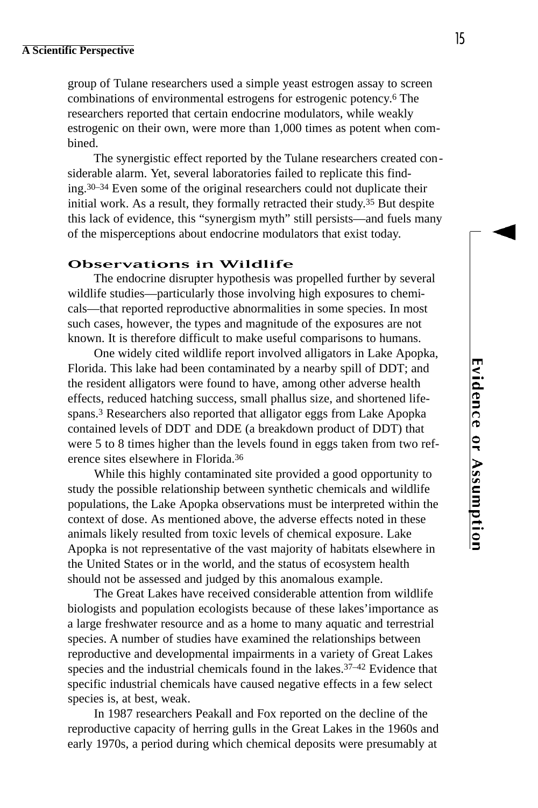group of Tulane researchers used a simple yeast estrogen assay to screen combinations of environmental estrogens for estrogenic potency. <sup>6</sup> The researchers reported that certain endocrine modulators, while weakly estrogenic on their own, were more than 1,000 times as potent when combined.

The synergistic effect reported by the Tulane researchers created considerable alarm. Yet, several laboratories failed to replicate this finding.30–34 Even some of the original researchers could not duplicate their initial work. As a result, they formally retracted their study. <sup>35</sup> But despite this lack of evidence, this "synergism myth" still persists—and fuels many of the misperceptions about endocrine modulators that exist today.

### **Observations in Wildlife**

The endocrine disrupter hypothesis was propelled further by several wildlife studies—particularly those involving high exposures to chemicals—that reported reproductive abnormalities in some species. In most such cases, however, the types and magnitude of the exposures are not known. It is therefore difficult to make useful comparisons to humans.

One widely cited wildlife report involved alligators in Lake Apopka, Florida. This lake had been contaminated by a nearby spill of DDT; and the resident alligators were found to have, among other adverse health effects, reduced hatching success, small phallus size, and shortened lifespans.<sup>3</sup> Researchers also reported that alligator eggs from Lake Apopka contained levels of DDT and DDE (a breakdown product of DDT) that were 5 to 8 times higher than the levels found in eggs taken from two reference sites elsewhere in Florida.<sup>36</sup>

While this highly contaminated site provided a good opportunity to study the possible relationship between synthetic chemicals and wildlife populations, the Lake Apopka observations must be interpreted within the context of dose. As mentioned above, the adverse effects noted in these animals likely resulted from toxic levels of chemical exposure. Lake Apopka is not representative of the vast majority of habitats elsewhere in the United States or in the world, and the status of ecosystem health should not be assessed and judged by this anomalous example.

The Great Lakes have received considerable attention from wildlife biologists and population ecologists because of these lakes'importance as a large freshwater resource and as a home to many aquatic and terrestrial species. A number of studies have examined the relationships between reproductive and developmental impairments in a variety of Great Lakes species and the industrial chemicals found in the lakes.<sup>37-42</sup> Evidence that specific industrial chemicals have caused negative effects in a few select species is, at best, weak.

In 1987 researchers Peakall and Fox reported on the decline of the reproductive capacity of herring gulls in the Great Lakes in the 1960s and early 1970s, a period during which chemical deposits were presumably at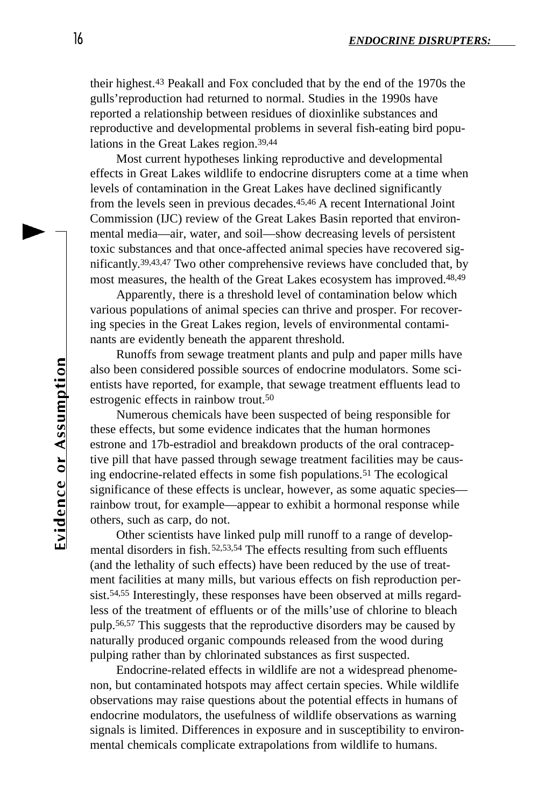their highest.<sup>43</sup> Peakall and Fox concluded that by the end of the 1970s the gulls'reproduction had returned to normal. Studies in the 1990s have reported a relationship between residues of dioxinlike substances and reproductive and developmental problems in several fish-eating bird populations in the Great Lakes region.39,44

Most current hypotheses linking reproductive and developmental effects in Great Lakes wildlife to endocrine disrupters come at a time when levels of contamination in the Great Lakes have declined significantly from the levels seen in previous decades.45,46 A recent International Joint Commission (IJC) review of the Great Lakes Basin reported that environmental media—air, water, and soil—show decreasing levels of persistent toxic substances and that once-affected animal species have recovered significantly. 39,43,47 Two other comprehensive reviews have concluded that, by most measures, the health of the Great Lakes ecosystem has improved.<sup>48,49</sup>

Apparently, there is a threshold level of contamination below which various populations of animal species can thrive and prosper. For recovering species in the Great Lakes region, levels of environmental contaminants are evidently beneath the apparent threshold.

Runoffs from sewage treatment plants and pulp and paper mills have also been considered possible sources of endocrine modulators. Some scientists have reported, for example, that sewage treatment effluents lead to estrogenic effects in rainbow trout.<sup>50</sup>

Numerous chemicals have been suspected of being responsible for these effects, but some evidence indicates that the human hormones estrone and 17b-estradiol and breakdown products of the oral contraceptive pill that have passed through sewage treatment facilities may be causing endocrine-related effects in some fish populations.<sup>51</sup> The ecological significance of these effects is unclear, however, as some aquatic species rainbow trout, for example—appear to exhibit a hormonal response while others, such as carp, do not.

Other scientists have linked pulp mill runoff to a range of developmental disorders in fish.<sup>52,53,54</sup> The effects resulting from such effluents (and the lethality of such effects) have been reduced by the use of treatment facilities at many mills, but various effects on fish reproduction persist.54,55 Interestingly, these responses have been observed at mills regardless of the treatment of effluents or of the mills'use of chlorine to bleach pulp.56,57 This suggests that the reproductive disorders may be caused by naturally produced organic compounds released from the wood during pulping rather than by chlorinated substances as first suspected.

Endocrine-related effects in wildlife are not a widespread phenomenon, but contaminated hotspots may affect certain species. While wildlife observations may raise questions about the potential effects in humans of endocrine modulators, the usefulness of wildlife observations as warning signals is limited. Differences in exposure and in susceptibility to environmental chemicals complicate extrapolations from wildlife to humans.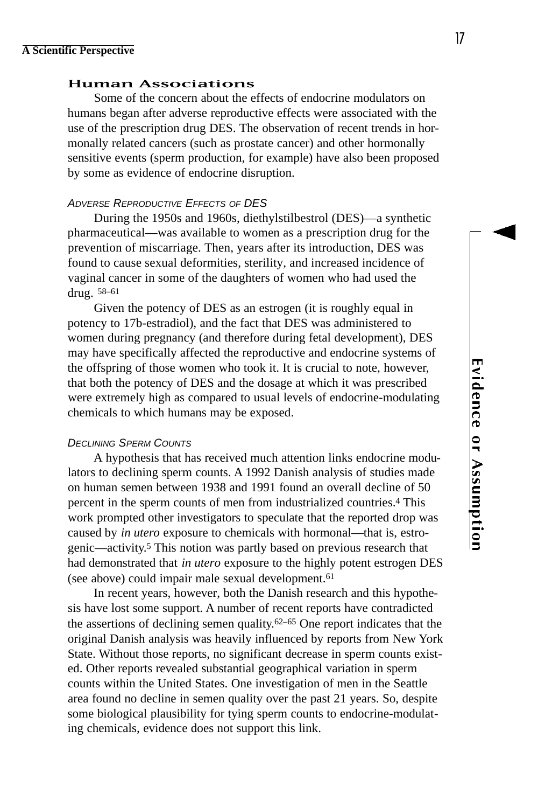### **Human Associations**

Some of the concern about the effects of endocrine modulators on humans began after adverse reproductive effects were associated with the use of the prescription drug DES. The observation of recent trends in hormonally related cancers (such as prostate cancer) and other hormonally sensitive events (sperm production, for example) have also been proposed by some as evidence of endocrine disruption.

### *ADVERSE REPRODUCTIVE EFFECTS OF DES*

During the 1950s and 1960s, diethylstilbestrol (DES)—a synthetic pharmaceutical—was available to women as a prescription drug for the prevention of miscarriage. Then, years after its introduction, DES was found to cause sexual deformities, sterility, and increased incidence of vaginal cancer in some of the daughters of women who had used the drug. 58-61

Given the potency of DES as an estrogen (it is roughly equal in potency to 17b-estradiol), and the fact that DES was administered to women during pregnancy (and therefore during fetal development), DES may have specifically affected the reproductive and endocrine systems of the offspring of those women who took it. It is crucial to note, however, that both the potency of DES and the dosage at which it was prescribed were extremely high as compared to usual levels of endocrine-modulating chemicals to which humans may be exposed.

### *DECLINING SPERM COUNTS*

A hypothesis that has received much attention links endocrine modulators to declining sperm counts. A 1992 Danish analysis of studies made on human semen between 1938 and 1991 found an overall decline of 50 percent in the sperm counts of men from industrialized countries.<sup>4</sup> This work prompted other investigators to speculate that the reported drop was caused by *in utero* exposure to chemicals with hormonal—that is, estrogenic—activity. <sup>5</sup> This notion was partly based on previous research that had demonstrated that *in utero* exposure to the highly potent estrogen DES (see above) could impair male sexual development.<sup>61</sup>

In recent years, however, both the Danish research and this hypothesis have lost some support. A number of recent reports have contradicted the assertions of declining semen quality. 62–65 One report indicates that the original Danish analysis was heavily influenced by reports from New York State. Without those reports, no significant decrease in sperm counts existed. Other reports revealed substantial geographical variation in sperm counts within the United States. One investigation of men in the Seattle area found no decline in semen quality over the past 21 years. So, despite some biological plausibility for tying sperm counts to endocrine-modulating chemicals, evidence does not support this link.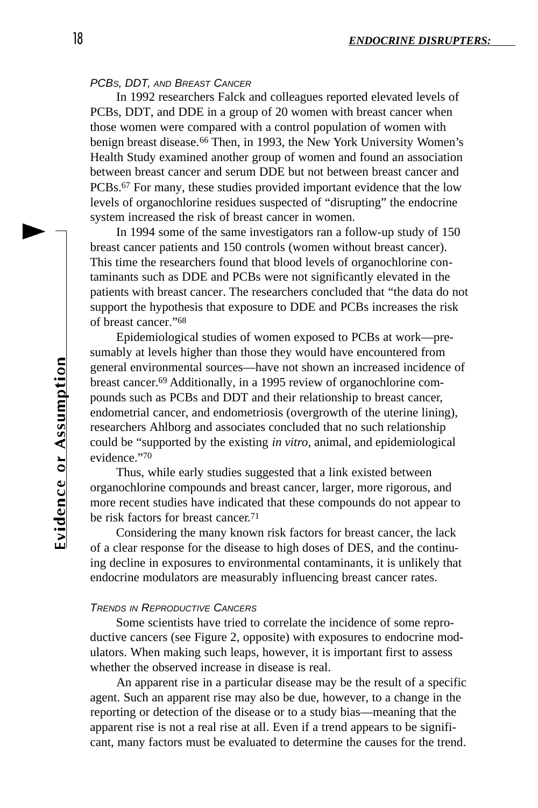### *PCBS, DDT, AND BREAST CANCER*

In 1992 researchers Falck and colleagues reported elevated levels of PCBs, DDT, and DDE in a group of 20 women with breast cancer when those women were compared with a control population of women with benign breast disease.<sup>66</sup> Then, in 1993, the New York University Women's Health Study examined another group of women and found an association between breast cancer and serum DDE but not between breast cancer and PCBs.<sup>67</sup> For many, these studies provided important evidence that the low levels of organochlorine residues suspected of "disrupting" the endocrine system increased the risk of breast cancer in women.

In 1994 some of the same investigators ran a follow-up study of 150 breast cancer patients and 150 controls (women without breast cancer). This time the researchers found that blood levels of organochlorine contaminants such as DDE and PCBs were not significantly elevated in the patients with breast cancer. The researchers concluded that "the data do not support the hypothesis that exposure to DDE and PCBs increases the risk of breast cancer."<sup>68</sup>

Epidemiological studies of women exposed to PCBs at work—presumably at levels higher than those they would have encountered from general environmental sources—have not shown an increased incidence of breast cancer. <sup>69</sup> Additionally, in a 1995 review of organochlorine compounds such as PCBs and DDT and their relationship to breast cancer, endometrial cancer, and endometriosis (overgrowth of the uterine lining), researchers Ahlborg and associates concluded that no such relationship could be "supported by the existing *in vitro*, animal, and epidemiological evidence."<sup>70</sup>

Thus, while early studies suggested that a link existed between organochlorine compounds and breast cancer, larger, more rigorous, and more recent studies have indicated that these compounds do not appear to be risk factors for breast cancer. 71

Considering the many known risk factors for breast cancer, the lack of a clear response for the disease to high doses of DES, and the continuing decline in exposures to environmental contaminants, it is unlikely that endocrine modulators are measurably influencing breast cancer rates.

### *TRENDS IN REPRODUCTIVE CANCERS*

Some scientists have tried to correlate the incidence of some reproductive cancers (see Figure 2, opposite) with exposures to endocrine modulators. When making such leaps, however, it is important first to assess whether the observed increase in disease is real.

An apparent rise in a particular disease may be the result of a specific agent. Such an apparent rise may also be due, however, to a change in the reporting or detection of the disease or to a study bias—meaning that the apparent rise is not a real rise at all. Even if a trend appears to be significant, many factors must be evaluated to determine the causes for the trend.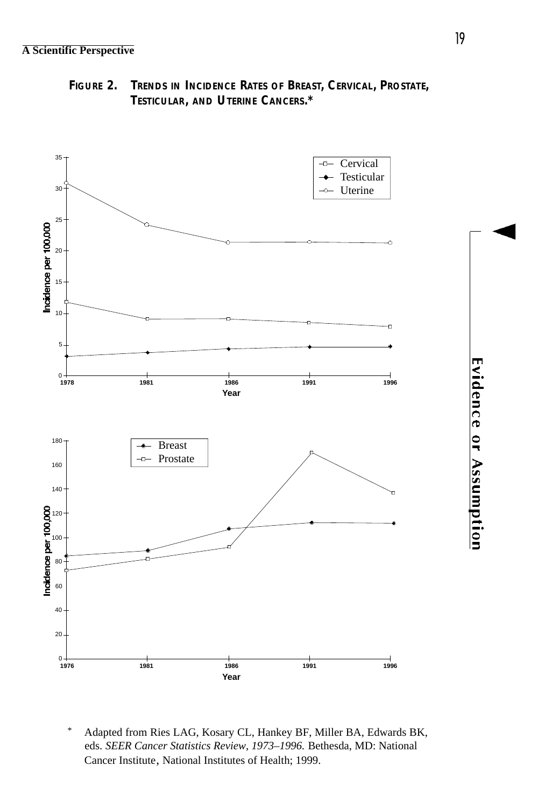**FIGURE 2. TRENDS IN INCIDENCE RATES OF BREAST, CERVICAL, PROSTATE, TESTICULAR, AND UTERINE CANCERS.\***



\* Adapted from Ries LAG, Kosary CL, Hankey BF, Miller BA, Edwards BK, eds. *SEER Cancer Statistics Review, 1973–1996.* Bethesda, MD: National Cancer Institute, National Institutes of Health; 1999.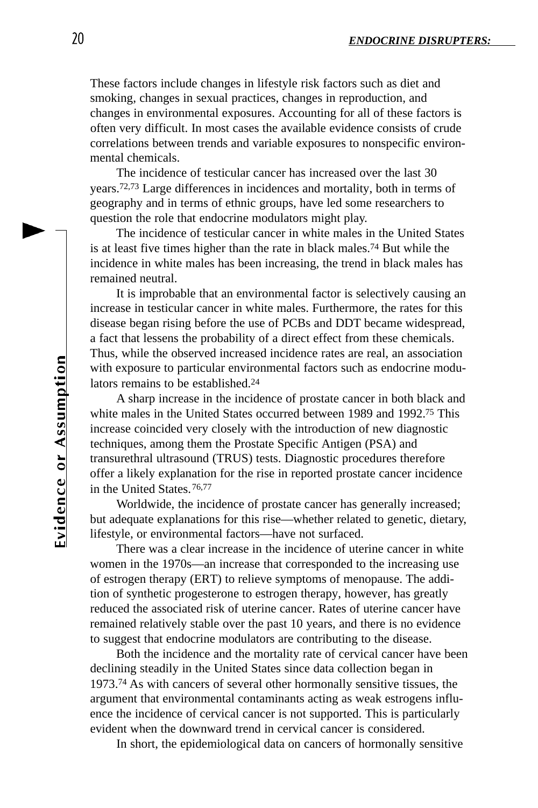These factors include changes in lifestyle risk factors such as diet and smoking, changes in sexual practices, changes in reproduction, and changes in environmental exposures. Accounting for all of these factors is often very difficult. In most cases the available evidence consists of crude correlations between trends and variable exposures to nonspecific environmental chemicals.

The incidence of testicular cancer has increased over the last 30 years.72,73 Large differences in incidences and mortality, both in terms of geography and in terms of ethnic groups, have led some researchers to question the role that endocrine modulators might play.

The incidence of testicular cancer in white males in the United States is at least five times higher than the rate in black males.<sup>74</sup> But while the incidence in white males has been increasing, the trend in black males has remained neutral.

It is improbable that an environmental factor is selectively causing an increase in testicular cancer in white males. Furthermore, the rates for this disease began rising before the use of PCBs and DDT became widespread, a fact that lessens the probability of a direct effect from these chemicals. Thus, while the observed increased incidence rates are real, an association with exposure to particular environmental factors such as endocrine modulators remains to be established.<sup>24</sup>

A sharp increase in the incidence of prostate cancer in both black and white males in the United States occurred between 1989 and 1992.<sup>75</sup> This increase coincided very closely with the introduction of new diagnostic techniques, among them the Prostate Specific Antigen (PSA) and transurethral ultrasound (TRUS) tests. Diagnostic procedures therefore offer a likely explanation for the rise in reported prostate cancer incidence in the United States.76,77

Worldwide, the incidence of prostate cancer has generally increased; but adequate explanations for this rise—whether related to genetic, dietary, lifestyle, or environmental factors—have not surfaced.

There was a clear increase in the incidence of uterine cancer in white women in the 1970s—an increase that corresponded to the increasing use of estrogen therapy (ERT) to relieve symptoms of menopause. The addition of synthetic progesterone to estrogen therapy, however, has greatly reduced the associated risk of uterine cancer. Rates of uterine cancer have remained relatively stable over the past 10 years, and there is no evidence to suggest that endocrine modulators are contributing to the disease.

Both the incidence and the mortality rate of cervical cancer have been declining steadily in the United States since data collection began in 1973.<sup>74</sup> As with cancers of several other hormonally sensitive tissues, the argument that environmental contaminants acting as weak estrogens influence the incidence of cervical cancer is not supported. This is particularly evident when the downward trend in cervical cancer is considered.

In short, the epidemiological data on cancers of hormonally sensitive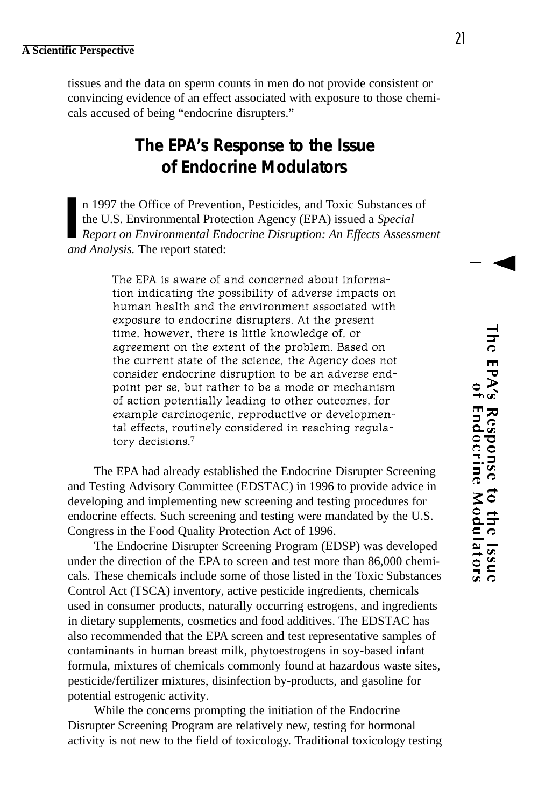tissues and the data on sperm counts in men do not provide consistent or convincing evidence of an effect associated with exposure to those chemicals accused of being "endocrine disrupters."

# **The EPA's Response to the Issue of Endocrine Modulators**

**I** n 1997 the Office of Prevention, Pesticides, and Toxic Substances of the U.S. Environmental Protection Agency (EPA) issued a *Special Report on Environmental Endocrine Disruption: An Effects Assessment and Analysis.* The report stated:

> The EPA is aware of and concerned about information indicating the possibility of adverse impacts on human health and the environment associated with exposure to endocrine disrupters. At the present time, however, there is little knowledge of, or agreement on the extent of the problem. Based on the current state of the science, the Agency does not consider endocrine disruption to be an adverse endpoint per se, but rather to be a mode or mechanism of action potentially leading to other outcomes, for example carcinogenic, reproductive or developmental effects, routinely considered in reaching regulatory decisions.7

The EPA had already established the Endocrine Disrupter Screening and Testing Advisory Committee (EDSTAC) in 1996 to provide advice in developing and implementing new screening and testing procedures for endocrine effects. Such screening and testing were mandated by the U.S. Congress in the Food Quality Protection Act of 1996.

The Endocrine Disrupter Screening Program (EDSP) was developed under the direction of the EPA to screen and test more than 86,000 chemicals. These chemicals include some of those listed in the Toxic Substances Control Act (TSCA) inventory, active pesticide ingredients, chemicals used in consumer products, naturally occurring estrogens, and ingredients in dietary supplements, cosmetics and food additives. The EDSTAC has also recommended that the EPA screen and test representative samples of contaminants in human breast milk, phytoestrogens in soy-based infant formula, mixtures of chemicals commonly found at hazardous waste sites, pesticide/fertilizer mixtures, disinfection by-products, and gasoline for potential estrogenic activity.

While the concerns prompting the initiation of the Endocrine Disrupter Screening Program are relatively new, testing for hormonal activity is not new to the field of toxicology. Traditional toxicology testing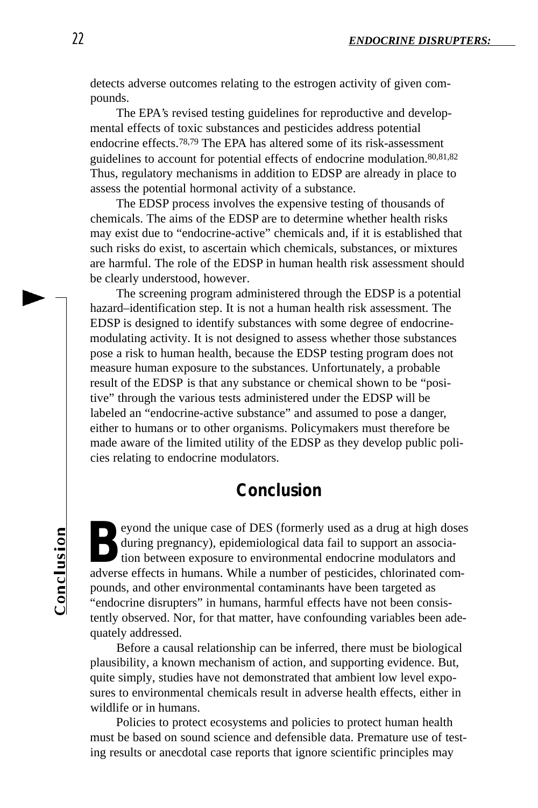detects adverse outcomes relating to the estrogen activity of given compounds.

The EPA's revised testing guidelines for reproductive and developmental effects of toxic substances and pesticides address potential endocrine effects.78,79 The EPA has altered some of its risk-assessment guidelines to account for potential effects of endocrine modulation.80,81,82 Thus, regulatory mechanisms in addition to EDSP are already in place to assess the potential hormonal activity of a substance.

The EDSP process involves the expensive testing of thousands of chemicals. The aims of the EDSP are to determine whether health risks may exist due to "endocrine-active" chemicals and, if it is established that such risks do exist, to ascertain which chemicals, substances, or mixtures are harmful. The role of the EDSP in human health risk assessment should be clearly understood, however.

The screening program administered through the EDSP is a potential hazard–identification step. It is not a human health risk assessment. The EDSP is designed to identify substances with some degree of endocrinemodulating activity. It is not designed to assess whether those substances pose a risk to human health, because the EDSP testing program does not measure human exposure to the substances. Unfortunately, a probable result of the EDSP is that any substance or chemical shown to be "positive" through the various tests administered under the EDSP will be labeled an "endocrine-active substance" and assumed to pose a danger, either to humans or to other organisms. Policymakers must therefore be made aware of the limited utility of the EDSP as they develop public policies relating to endocrine modulators.

# **Conclusion**

Conclusion

**B** eyond the unique case of DES (formerly used as a drug at high dose during pregnancy), epidemiological data fail to support an association between exposure to environmental endocrine modulators and adverse effects in hu eyond the unique case of DES (formerly used as a drug at high doses during pregnancy), epidemiological data fail to support an association between exposure to environmental endocrine modulators and pounds, and other environmental contaminants have been targeted as "endocrine disrupters" in humans, harmful effects have not been consistently observed. Nor, for that matter, have confounding variables been adequately addressed.

Before a causal relationship can be inferred, there must be biological plausibility, a known mechanism of action, and supporting evidence. But, quite simply, studies have not demonstrated that ambient low level exposures to environmental chemicals result in adverse health effects, either in wildlife or in humans.

Policies to protect ecosystems and policies to protect human health must be based on sound science and defensible data. Premature use of testing results or anecdotal case reports that ignore scientific principles may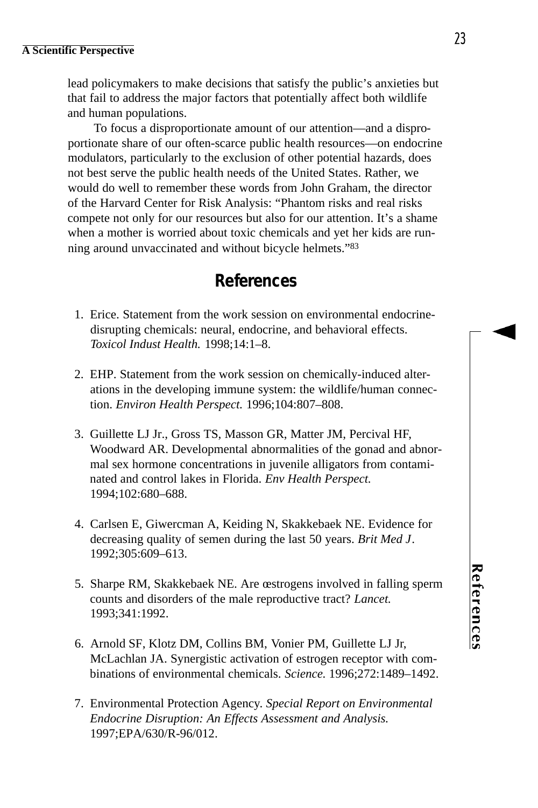lead policymakers to make decisions that satisfy the public's anxieties but that fail to address the major factors that potentially affect both wildlife and human populations.

To focus a disproportionate amount of our attention—and a disproportionate share of our often-scarce public health resources—on endocrine modulators, particularly to the exclusion of other potential hazards, does not best serve the public health needs of the United States. Rather, we would do well to remember these words from John Graham, the director of the Harvard Center for Risk Analysis: "Phantom risks and real risks compete not only for our resources but also for our attention. It's a shame when a mother is worried about toxic chemicals and yet her kids are running around unvaccinated and without bicycle helmets."<sup>83</sup>

# **References**

- 1. Erice. Statement from the work session on environmental endocrinedisrupting chemicals: neural, endocrine, and behavioral effects. *Toxicol Indust Health.* 1998;14:1–8.
- 2. EHP. Statement from the work session on chemically-induced alterations in the developing immune system: the wildlife/human connection. *Environ Health Perspect.* 1996;104:807–808.
- 3. Guillette LJ Jr., Gross TS, Masson GR, Matter JM, Percival HF, Woodward AR. Developmental abnormalities of the gonad and abnormal sex hormone concentrations in juvenile alligators from contaminated and control lakes in Florida. *Env Health Perspect.* 1994;102:680–688.
- 4. Carlsen E, Giwercman A, Keiding N, Skakkebaek NE. Evidence for decreasing quality of semen during the last 50 years. *Brit Med J*. 1992;305:609–613.
- 5. Sharpe RM, Skakkebaek NE. Are œstrogens involved in falling sperm counts and disorders of the male reproductive tract? *Lancet*. 1993;341:1992.
- 6. Arnold SF, Klotz DM, Collins BM, Vonier PM, Guillette LJ Jr, McLachlan JA. Synergistic activation of estrogen receptor with combinations of environmental chemicals. *Science.* 1996;272:1489–1492.
- 7. Environmental Protection Agency. *Special Report on Environmental Endocrine Disruption: An Effects Assessment and Analysis*. 1997;EPA/630/R-96/012.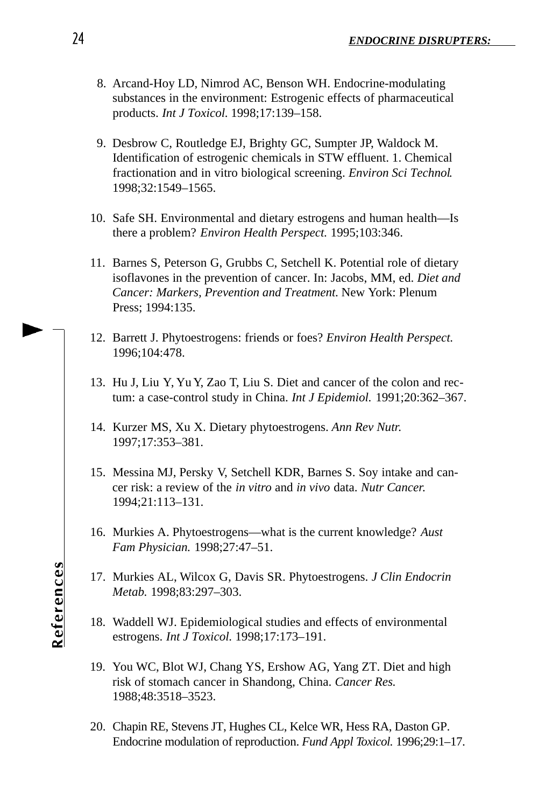- 8. Arcand-Hoy LD, Nimrod AC, Benson WH. Endocrine-modulating substances in the environment: Estrogenic effects of pharmaceutical products. *Int J Toxicol.* 1998;17:139–158.
- 9. Desbrow C, Routledge EJ, Brighty GC, Sumpter JP, Waldock M. Identification of estrogenic chemicals in STW effluent. 1. Chemical fractionation and in vitro biological screening. *Environ Sci Technol*. 1998;32:1549–1565.
- 10. Safe SH. Environmental and dietary estrogens and human health—Is there a problem? *Environ Health Perspect.* 1995;103:346.
- 11. Barnes S, Peterson G, Grubbs C, Setchell K. Potential role of dietary isoflavones in the prevention of cancer. In: Jacobs, MM, ed. *Diet and Cancer: Markers, Prevention and Treatment*. New York: Plenum Press; 1994:135.
- 12. Barrett J. Phytoestrogens: friends or foes? *Environ Health Perspect.* 1996;104:478.
- 13. Hu J, Liu Y, Yu Y, Zao T, Liu S. Diet and cancer of the colon and rectum: a case-control study in China. *Int J Epidemiol.* 1991;20:362–367.
- 14. Kurzer MS, Xu X. Dietary phytoestrogens. *Ann Rev Nutr.* 1997;17:353–381.
- 15. Messina MJ, Persky V, Setchell KDR, Barnes S. Soy intake and cancer risk: a review of the *in vitro* and *in vivo* data. *Nutr Cancer.* 1994;21:113–131.
- 16. Murkies A. Phytoestrogens—what is the current knowledge? *Aust Fam Physician.* 1998;27:47–51.
- 17. Murkies AL, Wilcox G, Davis SR. Phytoestrogens. *J Clin Endocrin Metab.* 1998;83:297–303.
- 18. Waddell WJ. Epidemiological studies and effects of environmental estrogens. *Int J Toxicol.* 1998;17:173–191.
- 19. You WC, Blot WJ, Chang YS, Ershow AG, Yang ZT. Diet and high risk of stomach cancer in Shandong, China. *Cancer Res.* 1988;48:3518–3523.
- 20. Chapin RE, Stevens JT, Hughes CL, Kelce WR, Hess RA, Daston GP. Endocrine modulation of reproduction. *Fund Appl Toxicol*. 1996;29:1-17.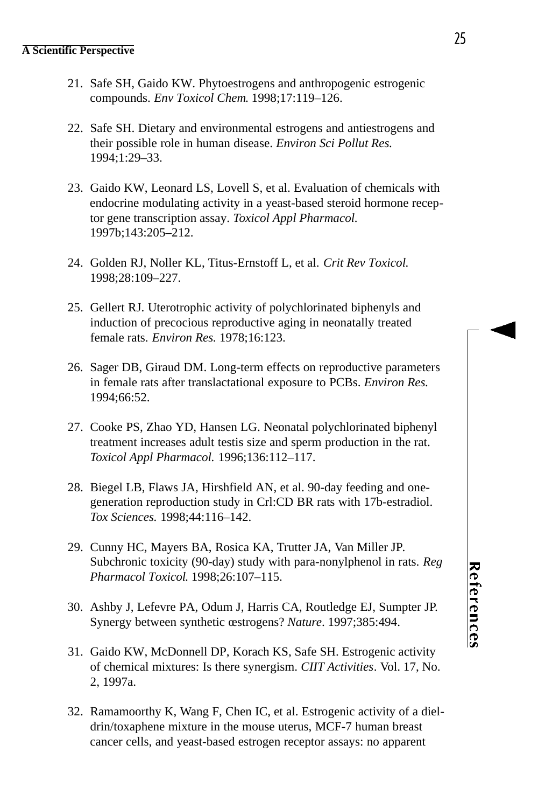- 21. Safe SH, Gaido KW. Phytoestrogens and anthropogenic estrogenic compounds. *Env Toxicol Chem*. 1998;17:119–126.
- 22. Safe SH. Dietary and environmental estrogens and antiestrogens and their possible role in human disease. *Environ Sci Pollut Res.* 1994;1:29–33.
- 23. Gaido KW, Leonard LS, Lovell S, et al. Evaluation of chemicals with endocrine modulating activity in a yeast-based steroid hormone receptor gene transcription assay. *Toxicol Appl Pharmacol.* 1997b;143:205–212.
- 24. Golden RJ, Noller KL, Titus-Ernstoff L, et al. *Crit Rev Toxicol.* 1998;28:109–227.
- 25. Gellert RJ. Uterotrophic activity of polychlorinated biphenyls and induction of precocious reproductive aging in neonatally treated female rats. *Environ Res.* 1978;16:123.
- 26. Sager DB, Giraud DM. Long-term effects on reproductive parameters in female rats after translactational exposure to PCBs. *Environ Res.* 1994;66:52.
- 27. Cooke PS, Zhao YD, Hansen LG. Neonatal polychlorinated biphenyl treatment increases adult testis size and sperm production in the rat. *Toxicol Appl Pharmacol.* 1996;136:112–117.
- 28. Biegel LB, Flaws JA, Hirshfield AN, et al. 90-day feeding and onegeneration reproduction study in Crl:CD BR rats with 17b-estradiol. *Tox Sciences.* 1998;44:116–142.
- 29. Cunny HC, Mayers BA, Rosica KA, Trutter JA, Van Miller JP. Subchronic toxicity (90-day) study with para-nonylphenol in rats. *Reg Pharmacol Toxicol*. 1998;26:107–115.
- 30. Ashby J, Lefevre PA, Odum J, Harris CA, Routledge EJ, Sumpter JP. Synergy between synthetic œstrogens? *Nature*. 1997;385:494.
- 31. Gaido KW, McDonnell DP, Korach KS, Safe SH. Estrogenic activity of chemical mixtures: Is there synergism. *CIIT Activities*. Vol. 17, No. 2, 1997a.
- 32. Ramamoorthy K, Wang F, Chen IC, et al. Estrogenic activity of a dieldrin/toxaphene mixture in the mouse uterus, MCF-7 human breast cancer cells, and yeast-based estrogen receptor assays: no apparent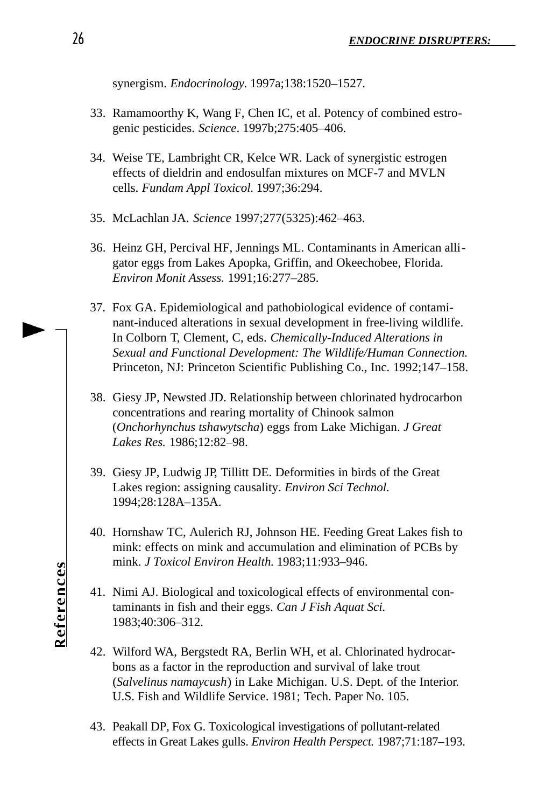synergism. *Endocrinology*. 1997a;138:1520–1527.

- 33. Ramamoorthy K, Wang F, Chen IC, et al. Potency of combined estrogenic pesticides. *Science*. 1997b;275:405–406.
- 34. Weise TE, Lambright CR, Kelce WR. Lack of synergistic estrogen effects of dieldrin and endosulfan mixtures on MCF-7 and MVLN cells. *Fundam Appl Toxicol.* 1997;36:294.
- 35. McLachlan JA. *Science* 1997;277(5325):462–463.
- 36. Heinz GH, Percival HF, Jennings ML. Contaminants in American alligator eggs from Lakes Apopka, Griffin, and Okeechobee, Florida. *Environ Monit Assess.* 1991;16:277–285.
- 37. Fox GA. Epidemiological and pathobiological evidence of contaminant-induced alterations in sexual development in free-living wildlife. In Colborn T, Clement, C, eds. *Chemically-Induced Alterations in Sexual and Functional Development: The Wildlife/Human Connection*. Princeton, NJ: Princeton Scientific Publishing Co., Inc. 1992;147–158.
- 38. Giesy JP, Newsted JD. Relationship between chlorinated hydrocarbon concentrations and rearing mortality of Chinook salmon (*Onchorhynchus tshawytscha*) eggs from Lake Michigan. *J Great Lakes Res.* 1986;12:82–98.
- 39. Giesy JP, Ludwig JP, Tillitt DE. Deformities in birds of the Great Lakes region: assigning causality. *Environ Sci Technol.* 1994;28:128A–135A.
- 40. Hornshaw TC, Aulerich RJ, Johnson HE. Feeding Great Lakes fish to mink: effects on mink and accumulation and elimination of PCBs by mink. *J Toxicol Environ Health.* 1983;11:933–946.
- 41. Nimi AJ. Biological and toxicological effects of environmental contaminants in fish and their eggs. *Can J Fish Aquat Sci.* 1983;40:306–312.
- 42. Wilford WA, Bergstedt RA, Berlin WH, et al. Chlorinated hydrocarbons as a factor in the reproduction and survival of lake trout (*Salvelinus namaycush*) in Lake Michigan. U.S. Dept. of the Interior. U.S. Fish and Wildlife Service. 1981; Tech. Paper No. 105.
- 43. Peakall DP, Fox G. Toxicological investigations of pollutant-related effects in Great Lakes gulls. *Environ Health Perspect*. 1987;71:187-193.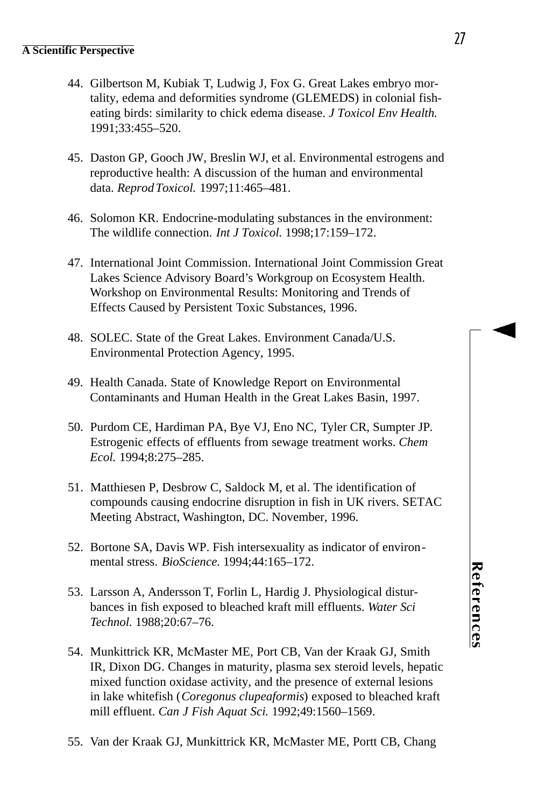- 44. Gilbertson M, Kubiak T, Ludwig J, Fox G. Great Lakes embryo mortality, edema and deformities syndrome (GLEMEDS) in colonial fisheating birds: similarity to chick edema disease. *J Toxicol Env Health.* 1991;33:455–520.
- 45. Daston GP, Gooch JW, Breslin WJ, et al. Environmental estrogens and reproductive health: A discussion of the human and environmental data. *Reprod Toxicol.* 1997;11:465–481.
- 46. Solomon KR. Endocrine-modulating substances in the environment: The wildlife connection. *Int J Toxicol.* 1998;17:159–172.
- 47. International Joint Commission. International Joint Commission Great Lakes Science Advisory Board's Workgroup on Ecosystem Health. Workshop on Environmental Results: Monitoring and Trends of Effects Caused by Persistent Toxic Substances, 1996.
- 48. SOLEC. State of the Great Lakes. Environment Canada/U.S. Environmental Protection Agency, 1995.
- 49. Health Canada. State of Knowledge Report on Environmental Contaminants and Human Health in the Great Lakes Basin, 1997.
- 50. Purdom CE, Hardiman PA, Bye VJ, Eno NC, Tyler CR, Sumpter JP. Estrogenic effects of effluents from sewage treatment works. *Chem Ecol.* 1994;8:275–285.
- 51. Matthiesen P, Desbrow C, Saldock M, et al. The identification of compounds causing endocrine disruption in fish in UK rivers. SETAC Meeting Abstract, Washington, DC. November, 1996.
- 52. Bortone SA, Davis WP. Fish intersexuality as indicator of environmental stress. *BioScience.* 1994;44:165–172.
- 53. Larsson A, Andersson T, Forlin L, Hardig J. Physiological disturbances in fish exposed to bleached kraft mill effluents. *Water Sci Technol.* 1988;20:67–76.
- 54. Munkittrick KR, McMaster ME, Port CB, Van der Kraak GJ, Smith IR, Dixon DG. Changes in maturity, plasma sex steroid levels, hepatic mixed function oxidase activity, and the presence of external lesions in lake whitefish (*Coregonus clupeaformis*) exposed to bleached kraft mill effluent. *Can J Fish Aquat Sci.* 1992;49:1560–1569.
- 55. Van der Kraak GJ, Munkittrick KR, McMaster ME, Portt CB, Chang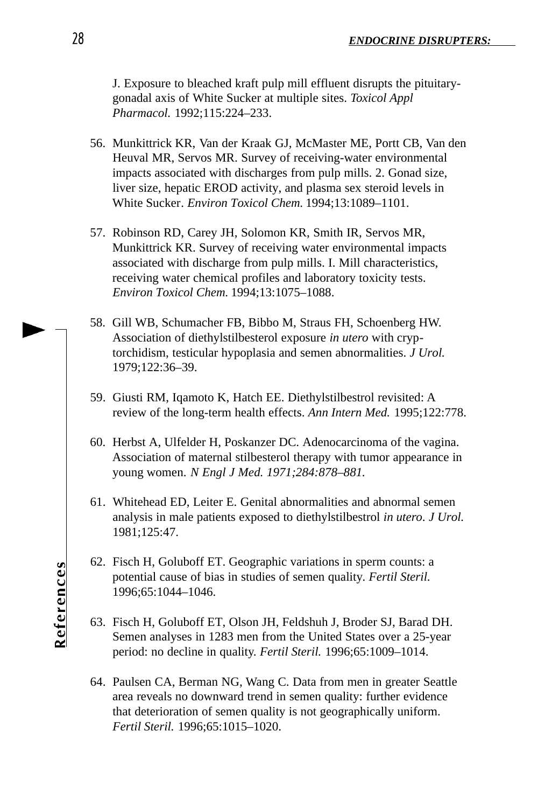J. Exposure to bleached kraft pulp mill effluent disrupts the pituitarygonadal axis of White Sucker at multiple sites. *Toxicol Appl Pharmacol.* 1992;115:224–233.

- 56. Munkittrick KR, Van der Kraak GJ, McMaster ME, Portt CB, Van den Heuval MR, Servos MR. Survey of receiving-water environmental impacts associated with discharges from pulp mills. 2. Gonad size, liver size, hepatic EROD activity, and plasma sex steroid levels in White Sucker*. Environ Toxicol Chem.* 1994;13:1089–1101.
- 57. Robinson RD, Carey JH, Solomon KR, Smith IR, Servos MR, Munkittrick KR. Survey of receiving water environmental impacts associated with discharge from pulp mills. I. Mill characteristics, receiving water chemical profiles and laboratory toxicity tests. *Environ Toxicol Chem.* 1994;13:1075–1088.
- 58. Gill WB, Schumacher FB, Bibbo M, Straus FH, Schoenberg HW. Association of diethylstilbesterol exposure *in utero* with cryptorchidism, testicular hypoplasia and semen abnormalities. *J Urol.* 1979;122:36–39.
- 59. Giusti RM, Iqamoto K, Hatch EE. Diethylstilbestrol revisited: A review of the long-term health effects. *Ann Intern Med.* 1995;122:778.
- 60. Herbst A, Ulfelder H, Poskanzer DC. Adenocarcinoma of the vagina. Association of maternal stilbesterol therapy with tumor appearance in young women. *N Engl J Med. 1971;284:878–881.*
- 61. Whitehead ED, Leiter E. Genital abnormalities and abnormal semen analysis in male patients exposed to diethylstilbestrol *in utero*. *J Urol.* 1981;125:47.
- 62. Fisch H, Goluboff ET. Geographic variations in sperm counts: a potential cause of bias in studies of semen quality*. Fertil Steril.* 1996;65:1044–1046.
- 63. Fisch H, Goluboff ET, Olson JH, Feldshuh J, Broder SJ, Barad DH. Semen analyses in 1283 men from the United States over a 25-year period: no decline in quality. *Fertil Steril.* 1996;65:1009–1014.
- 64. Paulsen CA, Berman NG, Wang C. Data from men in greater Seattle area reveals no downward trend in semen quality: further evidence that deterioration of semen quality is not geographically uniform. *Fertil Steril.* 1996;65:1015–1020.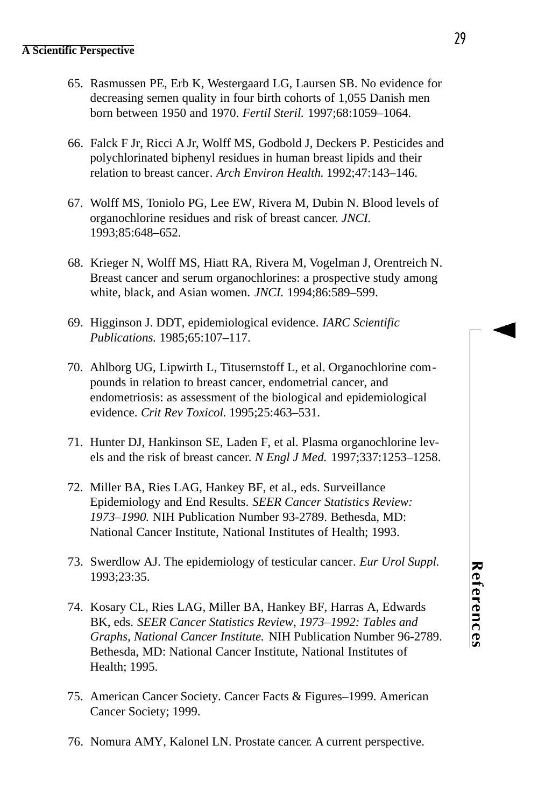- 65. Rasmussen PE, Erb K, Westergaard LG, Laursen SB. No evidence for decreasing semen quality in four birth cohorts of 1,055 Danish men born between 1950 and 1970. *Fertil Steril.* 1997;68:1059–1064.
- 66. Falck F Jr, Ricci A Jr, Wolff MS, Godbold J, Deckers P. Pesticides and polychlorinated biphenyl residues in human breast lipids and their relation to breast cancer. *Arch Environ Health.* 1992;47:143–146.
- 67. Wolff MS, Toniolo PG, Lee EW, Rivera M, Dubin N. Blood levels of organochlorine residues and risk of breast cancer. *JNCI.* 1993;85:648–652.
- 68. Krieger N, Wolff MS, Hiatt RA, Rivera M, Vogelman J, Orentreich N. Breast cancer and serum organochlorines: a prospective study among white, black, and Asian women. *JNCI.* 1994;86:589–599.
- 69. Higginson J. DDT, epidemiological evidence. *IARC Scientific Publications.* 1985;65:107–117.
- 70. Ahlborg UG, Lipwirth L, Titusernstoff L, et al. Organochlorine compounds in relation to breast cancer, endometrial cancer, and endometriosis: as assessment of the biological and epidemiological evidence. *Crit Rev Toxicol.* 1995;25:463–531.
- 71. Hunter DJ, Hankinson SE, Laden F, et al. Plasma organochlorine levels and the risk of breast cancer. *N Engl J Med.* 1997;337:1253–1258.
- 72. Miller BA, Ries LAG, Hankey BF, et al., eds. Surveillance Epidemiology and End Results. *SEER Cancer Statistics Review: 1973–1990.* NIH Publication Number 93-2789. Bethesda, MD: National Cancer Institute, National Institutes of Health; 1993.
- 73. Swerdlow AJ. The epidemiology of testicular cancer. *Eur Urol Suppl.* 1993;23:35.
- 74. Kosary CL, Ries LAG, Miller BA, Hankey BF, Harras A, Edwards BK, eds. *SEER Cancer Statistics Review, 1973–1992: Tables and Graphs, National Cancer Institute.* NIH Publication Number 96-2789. Bethesda, MD: National Cancer Institute, National Institutes of Health; 1995.
- 75. American Cancer Society. Cancer Facts & Figures–1999. American Cancer Society; 1999.
- 76. Nomura AMY, Kalonel LN. Prostate cancer. A current perspective.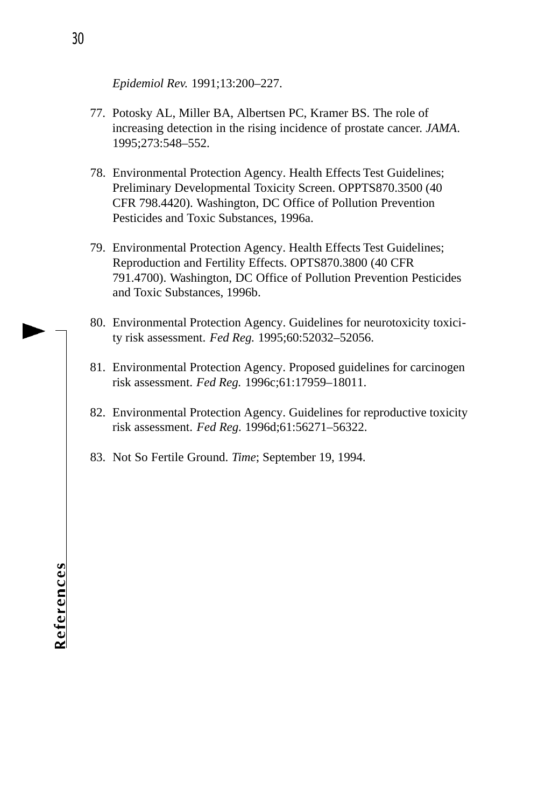*Epidemiol Rev.* 1991;13:200–227.

- 77. Potosky AL, Miller BA, Albertsen PC, Kramer BS. The role of increasing detection in the rising incidence of prostate cancer. *JAMA*. 1995;273:548–552.
- 78. Environmental Protection Agency. Health Effects Test Guidelines; Preliminary Developmental Toxicity Screen. OPPTS870.3500 (40 CFR 798.4420). Washington, DC Office of Pollution Prevention Pesticides and Toxic Substances, 1996a.
- 79. Environmental Protection Agency. Health Effects Test Guidelines; Reproduction and Fertility Effects. OPTS870.3800 (40 CFR 791.4700). Washington, DC Office of Pollution Prevention Pesticides and Toxic Substances, 1996b.
- 80. Environmental Protection Agency. Guidelines for neurotoxicity toxicity risk assessment. *Fed Reg.* 1995;60:52032–52056.
- 81. Environmental Protection Agency. Proposed guidelines for carcinogen risk assessment. *Fed Reg.* 1996c;61:17959–18011.
- 82. Environmental Protection Agency. Guidelines for reproductive toxicity risk assessment. *Fed Reg.* 1996d;61:56271–56322.
- 83. Not So Fertile Ground. *Time*; September 19, 1994.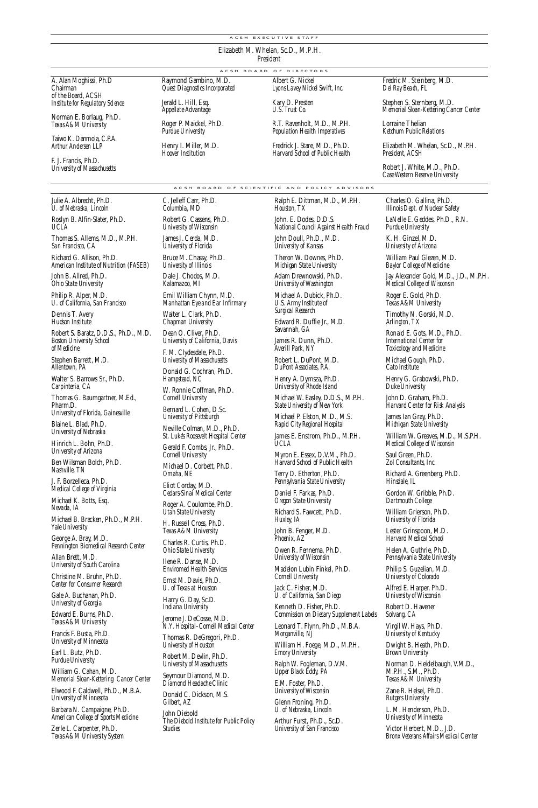.<br>A C S H E X E C U T I V E S T A F F

**Elizabeth M. Whelan, Sc.D., M.P.H.** *President* A C S H B O A R D O F D I R E C T O R S

A. Alan Moghissi, Ph.D Chairman of the Board, ACSH **Institute for Regulatory Science** 

**No rman E. Borlaug, Ph.D.**  *Texas A&M Un i ve r s i t y*

Taiwo K. Danmola, C.P.A. *Arthur Andersen LLP*

**F. J. Francis, Ph.D.**  *University of Massachusetts* 

**Julie A. Albrecht, Ph . D .** *U. of Nehraska, Lincoln* 

Roslyn B. Alfin-Slater, Ph.D. *U C LA*

Thomas S. Allems, M.D., M.P.H. *San Francisco* CA

**Richard G. Allison, Ph.D.** *American Institute of Nutrition (FA S E B )*

John B. Allred, Ph.D. *Ohio State University* 

**Philip R. Alper, M.D.** *U. of California, San Francisco* 

**Dennis T. Avery Hudson** Institute

Robert S. Baratz, D.D.S., Ph.D., M.D. *Boston Un i versity School of Me d i c i n e*

Stephen Barrett, M.D. *Al l e n t own, PA*

**Walter S. Barrows Sr., Ph.D.** *Carpinteria, CA*

**Thomas G. Baumgartner, M.Ed., Pharm D** *Un i versity of Florida, Ga i n e s v i l l e*

**Blaine L. Blad, Ph.D.** *University of Nebraska* 

**Hinrich L. Bohn, Ph.D.** *University of Arizona* 

**Ben Wilsman Bolch, Ph.D.** *Nashville, T N*

**J. F. Borzelleca, Ph.D.** *Medical College of Virginia* 

**Michael K. Botts, Esq.** *Ne vada, IA* Michael B. Bracken, Ph.D., M.P.H.

*Yale Un i ve r s i t y*

George A. Bray, M.D. **Pennington Biomedical Research Center** 

**Allan Brett, M.D.** *University of South Carolina* **C h ristine M. Bruhn, Ph . D .**

*Center for Consumer Research* Gale A. Buchanan, Ph.D.

*University of Georgia* **Edward E. Burns, Ph.D.** 

*Texas A&M University* Francis F. Busta, Ph.D.

*University of Minnesota* 

Earl L. Butz, Ph.D. *Purdue University* 

**William G. Cahan, M.D.** *Memorial Sloan-Kettering Cancer Center* 

**Elwood F. Caldwell, Ph.D., M.B.A.** *University of Minnesota* 

**Barbara N. Campaigne, Ph.D. American College of Sports Medicine** 

Zerle L. Carpenter, Ph.D.<br>*Texas A&M University System* 

A C S H B O A R D O F S C I E N T I F I C A N D P O L I C Y A D V I S O R S **C. Jelleff Carr, Ph.D.** *Columbia, MD* **Robert G. Cassens, Ph.D.** *<i>University of Wisconsin* **James J. Cerda, M.D.** *<u>University of Florida</u>* **Bruce M. Chassy, Ph.D.**  $University of Illinois$ **Dale J. Chodos, M.D.** *Kalamazoo*, MI **Emil William Chynn, M.D.**

**Raymond Gambino, M.D. Quest Diagnostics Incorporated Jerald L. Hill, Esq.**  *Appellate Advantag* **Roger P. Maickel, Ph.D.**  *Purdue University* Henry I. Miller, M.D. *Ho over Institution* 

*Manhattan Eye and Ear Infirmary* Walter L. Clark, Ph.D. *Chapman University* 

Dean O. Cliver, Ph.D. *University of California*. Davis **F. M. Clydesdale, Ph . D .**

*University of Massachusetts* Donald G. Cochran, Ph.D. *Hampstead, NC* W. Ronnie Coffman, Ph.D.

*C o rnell Un i ve r s i t y* Bernard L. Cohen, D.Sc. *University of Pittsburgh* 

Neville Colman, M.D., Ph.D. **St. Luke's Roosevelt Hospital Center Gerald F. Combs, Jr., Ph . D .**

*<i>Cornell University* **Michael D. Corbett, Ph.D.** 

*Omaha, NE* **Eliot Corday, M.D.** *Ce d a r s - Sinai Medical Ce n t e r* **Roger A. Coulombe, Ph . D .**

*Utah State Un i ve r s i t y* **H. Russell Cross, Ph.D.** *Texas A&M University* 

**Charles R. Curtis, Ph D.** *Ohio State University* **Ilene R. Danse, M.D.**

*Envimmed Health Services* Ernst M. Davis, Ph.D.

*U. of Texas at Houston* Harry G. Day, Sc.D. *Indiana University* 

**Je rome J. DeCosse, M.D.** *N.Y. Hospital-Cornell Medical Center* 

**Thomas R. DeGregori, Ph.D.** *University of Houstd* **Robert M. Devlin, Ph.D.** *University of Massachusetts* 

**Seymour Diamond, M.D.** *Diamond Headache Clinic* **Donald C. Dickson, M.S.**

Gilbert, AZ **John Diebold The Diebold Institute for Public Policy** *Studies* 

**Kary D. Presten** *U.S. Trust Co.* **R . T. Ravenholt, M.D., M.P.H.**  *Population Health Imperatives* 

**Albert G. Nickel** Lyons Lavey Nickel Swift, Inc.

Fredrick J. Stare, M.D., Ph.D. *Harvard School of Public Health* 

**Ralph E. Dittman, M.D., M.P.H.** 

*Houston, TX* **John. E. Dodes, D.D.S.** *National Council Against Health Fra u d* **John Doull, Ph.D., M.D.** *<i>University of Kansas* **Theron W. Downes, Ph.D.** *Michigan State University* Adam Drewnowski, Ph.D. *University of Washington* **Michael A. Dubick, Ph.D.** *U.S. Army Institute of*<br>Surgical Research Edward R. Duffie Jr., M.D. *Sa vannah, GA* **James R. Dunn, Ph.D.** *Averill Park, NY* **Robert L. DuPont, M.D.** *DuPont Associates, P.A.* Henry A. Dymsza, Ph.D. *University of Rhode Island* Michael W. Easley, D.D.S., M.P.H. *State University of New York* **Michael P. Elston, M.D., M.S. Rapid City Regional Hospital** James E. Enstrom, Ph.D., M.P.H.

 $UCIA$ 

Myron E. Essex, D.V.M., Ph.D. *Harvard School of Public Health* Terry D. Etherton, Ph.D. Pennsylvania State University Daniel F. Farkas, Ph.D. **Oregon State University Richard S. Fawcett, Ph.D.** *Huxley*, *IA* John B. Fenger, M.D. *Phoenix, AZ* **Owen R. Fennema, Ph.D.** *University of Wisconsin* **Madelon Lubin Finkel, Ph.D.** *Cornell University* Jack C. Fisher, M.D. *U. of California, San Diego* **Kenneth D. Fisher. Ph.D.** *Commission on Dietary Supplement Labels* Leonard T. Flynn, Ph.D., M.B.A. *Morganville, NJ*

William H. Foege, M.D., M.P.H. *Emory University* Ralph W. Fogleman, D.V.M.<br>*Upper Black Eddy, PA* **E.M. Foster. Ph.D.** *<u>I</u> Iniversity of Wisconsin</u>* Glenn Froning, Ph.D. *U. of Nebraska, Lincoln* **A rthur Furst, Ph.D., Sc.D.** *University of San Francisco* 

LaNelle E. Geddes, Ph.D., R.N.

**K. H. Ginzel, M.D.** *University of Arizona* 

**William Paul Glezen, M.D.** 

Jay Alexander Gold, M.D., J.D., M.P.H.<br>*Medical College of Wisconsin* 

**Roger E. Gold, Ph.D.** *Texas A&M University* 

**Ronald E. Gots, M.D., Ph.D.**<br>*International Center for International Center for<br>Toxicology and Medicine* 

**Michael Gough, Ph.D.** *Cato Institute* 

*Duke I hiversity* 

*Harvard Center for Risk Analysis* 

*Midnigan State University* 

**William W. Greaves, M.D., M.S.P.H.** 

*Zol Consultants, Inc.* 

**Richard A. Greenberg, Ph.D.** *Hinsdale, IL*

Gordon W. Gribble, Ph.D. **William Grierson, Ph.D.** 

*University of Florida* 

Lester Grinspoon, M.D.<br>*Harvard Medical School* **Helen A. Guthrie, Ph.D.** 

*Pe n n s y l vania State Un i ve r s i t y* Philip S. Guzelian, M.D.

*University of Colorado* 

Alfred E. Harper, Ph.D.<br>*University of Wisconsin* 

**Robert D. Havener**  $Solvang, CA$ 

Virgil W. Hays, Ph.D. *University of Kentucky* 

Dwight B. Heath, Ph.D. **Brown University** 

**No rman D. Heidelbaugh, V. M . D . , M . P.H., S.M., Ph . D .** *Texas A&M University* 

**Zane R. Helsel, Ph . D .** *Rutgers University* 

L. M. Henderson, Ph.D. *University of Minnesota* 

**Victor Herbert, M.D., J.D.** *Bronx Veterans Affairs Medical Cemter* 

### **Lorraine Thelian**  *Ketchum Public Relations*

Elizabeth M. Whelan, Sc.D., M.P.H. President, ACSH

**Robert J. White, M.D., Ph.D.** *Case Western Reserve University* 

Fredric M. Steinberg, M.D. *Del Ray Beach, FL* Stephen S. Sternberg, M.D. *Memorial Sloan-Kettering Cancer Center* 

Charles O. Gallina, Ph.D. *Illinois Dept. of Nuclear Safety* 

*Purdue University* 

**Baylor College of Medicine** 

**Timothy N. Gorski, M.D.**

*Arlington, TX*

**Henry G. Grabowski, Ph.D.** 

John D. Graham, Ph.D.

**James Ian Gray, Ph.D.** 

*Medical College of Wisconsin* 

Saul Green, Ph.D.

*Dartmouth College*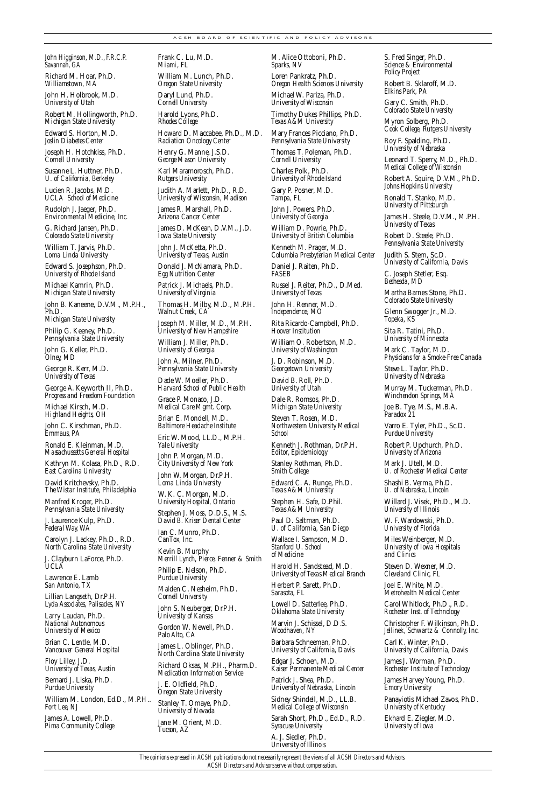### A C SH B O A R D O F S C I E N T I F I C A N D P O L I C Y A D V I S O R S

John Higginson, M.D., F.R.C.P. *Sa vannah, GA*

**Richard M. Hoar. Ph.D.** *Williamstown, MA* 

John H. Holbrook, M.D. *University of Utah* 

**Robert M. Hollingworth, Ph.D.** *Michigan State University* **Edward S. Horton, M.D.** *Joslin Diabetes Cente* 

Joseph H. Hotchkiss, Ph.D. *Cornell University* 

**Susanne L. Huttner, Ph.D.** *U. of California, Berkelev* 

**Lucien R. Jacobs, M.D.** *UCLA School of Medicine* 

**Rudolph J. Jaeger, Ph.D.**<br>*Environmental Medicine, Inc.* 

G. Richard Jansen, Ph.D. *Colorado State University* 

**William T. Jarvis, Ph.D.** *Loma Linda University* 

**Edward S. Josephson, Ph.D.**<br>*University of Rhode Island* 

**Michael Kamrin, Ph.D.** *Michigan State University* 

**John B. Kaneene, D.V.M., M.P.H., Ph.D.**  *Michigan State Un i ve r s i t y*

**Philip G. Keeney, Ph.D.** 

*Pe n n s y l vania State Un i ve r s i t y*

**John G. Keller, Ph.D.** *Olney, MD* George R. Kerr, M.D. *<i>University of Texas* 

**George A. Keyworth II, Ph.D.**<br>*Progress and Freedom Foundation* **Michael Kirsch, M.D.** *Highland Heights, OH* **John C. Kirschman, Ph . D .**

*Emmaus, PA*

**Ronald E. Kleinman, M.D.** *Massachussetts General Hospital* 

Kathryn M. Kolasa, Ph.D., R.D. **East Carolina University David Kritchevsky**, Ph.D.

*The Wistar Institute, Ph i l a d e l p h i a*

Manfred Kroger, Ph.D.<br>*Pennsylvania State University* 

**J. Laurence Kulp, Ph.D.** Federal Way, WA

Carolyn J. Lackey, Ph.D., R.D.<br>*North Carolina State University* **J. Clayburn LaForce, Ph.D.** *U C LA*

Lawrence E. Lamb *San Antonio*. TX

Lillian Langseth, Dr.P.H. *Lyda Associates, Palisades, NY*

Larry Laudan, Ph.D. *National Autonomous <i>University of Mexico* 

**Brian C. Lentle, M.D. Vancouver General Hospital** 

Floy Lilley, J.D. *<i>University of Texas, Austin* 

**Bernard I. Liska, Ph D.** *Purdue University* 

William M. London, Ed.D., M.P.H.. Fort Lee, NJ

James A. Lowell, Ph.D. *Pima Community College* **Frank C. Lu, M.D.** *Miami, FL* William M. Lunch, Ph.D. *Oregon State University* 

Daryl Lund, Ph.D. *Cornell University* **Ha rold Lyons, Ph . D .** *Rhodes College* Howard D. Maccabee, Ph.D., M.D.

*Radiation Oncology Center* Henry G. Manne, J.S.D. *George Mason University* **Karl Maramorosch, Ph.D.** *Rutgers University* 

**Judith A. Marlett, Ph.D., R.D.** *University of Wisconsin, Madison* 

James R. Marshall, Ph.D. Arizona Cancer Center

**James D. McKean, D.V.M., J.D.** *<i>Iowa State I Iniversity* 

John J. McKetta, Ph.D. *<i>University of Texas, Austin* 

Donald J. McNamara, Ph.D. **Egg Nutrition Center** Patrick J. Michaels, Ph.D. *University of Virginia* 

Thomas H. Milby, M.D., M.P.H. *Walnut Creek, CA*

Joseph M. Miller, M.D., M.P.H. *University of New Hampshire* 

**William J. Miller, Ph.D.** *University of Georgia* **John A. Milner, Ph.D.** *Pe n n s y l vania State Un i ve r s i t y*

Dade W. Moeller, Ph.D.<br>*Harvard School of Public Health* 

**Grace P. Monaco, J.D.** *Medical Care Mgmt. Corp.* **Brian E. Mondell, M.D. Baltimore Headache Institute** 

**Eric W. Mood, LL.D., M.P.H.** *Yale Un i versity*  **John P. Morgan, M.D.**

*City University of New York* **John W. Morgan, Dr.P.H.**<br>*Loma Linda University* 

**W. K. C. Morgan, M.D.**<br>*University Hospital, Ontario* 

**Stephen J. Moss, D.D.S., M.S.** *David B. Kriser Dental Center* 

Ian C. Munro, Ph.D. *CanTox Inc.* **Kevin B. Murphy** 

*Merrill Lynch, Pierce, Fenner & Smith* Philip E. Nelson, Ph.D.

*Purdue University* **Malden C. Nesheim, Ph.D.** 

*Cornell University* **John S. Neuberger, Dr.P.H.** 

*<i>University of Kansas* Gordon W. Newell, Ph.D. Palo Alto, CA

**James L. Oblinger, Ph.D.**<br>*North Carolina State University* 

Richard Oksas, M.P.H., Pharm.D. *Medication Information Service* **J. E. Oldfield, Ph.D.** 

**Oregon State University Stanley T. Omave, Ph.D.** *University of Nevada* 

**Jane M. Orient, M.D.** *Tucson, AZ*

**M. Alice Ottoboni, Ph.D.** Sparks, NV **Loren Pankratz**, Ph.D.

*Oregon Health Sciences University* **Michael W. Pariza, Ph.D.** 

*University of Wisconsin* **Timothy Dukes Phillips, Ph.D.** 

*Texas A&M University* **Mary Frances Picciano. Ph.D.** 

*Pe n n s y l vania State Un i ve r s i t y* **Thomas T. Poleman, Ph.D.** 

*Cornell University* Charles Polk, Ph.D. *University of Rhode Island* 

Gary P. Posner, M.D. *Tampa, FL*

John J. Powers, Ph.D. *University of Georgia* 

**William D. Powrie, Ph.D.** *Un i versity of British Columbia*

**Kenneth M. Prager, M.D.** *Columbia Presbyterian Medical Center* 

Daniel J. Raiten, Ph.D.  $F\!A S\!E\!B$ Russel J. Reiter, Ph.D., D.Med.

*University of Texas* John H. Renner, M.D. *Independence, MO*

**Rita Ricardo-Campbell, Ph.D.** *Hoover Institution* 

**William O. Robertson, M.D.** *University of Washington* 

**J. D. Robinson, M.D.** *Georgetown University* 

David B. Roll, Ph.D. *University of Utah* 

Dale R. Romsos, Ph.D. *Michigan State University* 

Steven T. Rosen, M.D. *No rt h we s t e rn Un i versity Me d i c a l S c h o o l*

Kenneth J. Rothman, Dr.P.H. *Editor, Epidemiology* 

**Stanley Rothman, Ph.D.** *Smith College*

**Edward C. A. Runge, Ph.D.** *Texas A&M University* 

Stephen H. Safe, D.Phil. *Texas A&M University* 

Paul D. Saltman, Ph.D. *U. of California, San Diego* Wallace I. Sampson, M.D.<br>*Stanford U. School*  $of Medicine$ 

**Ha rold H. Sandstead, M.D.** *University of Texas Medical Branch* 

**Herbert P. Sarett, Ph.D.** *Sa rasota, FL*

Lowell D. Satterlee, Ph.D. **Oklahoma State University Ma rvin J. Schissel, D.D.S.** *Woodhaven, NY* 

**Barbara Schneeman, Ph.D.** *University of California*, *Davis* 

**Edgar J. Schoen, M.D.** *Kaiser Permanente Medical Center* Patrick J. Shea, Ph.D.<br>*University of Nebraska, Lincoln* 

**Sidney Shindell, M.D., LL.B.** *Medical College of Wisconsin* 

Sarah Short, Ph.D., Ed.D., R.D. *Syracuse University* 

A. J. Siedler, Ph.D. *<u>University of Illinois</u>* 

*The opinions expressed in ACSH publications do not necessarily represent the views of all ACSH Directors and Advisors. ACSH Directors and Advisors serve without compensation.*

S. Fred Singer, Ph.D.<br>*Science & Environmental*  $P<sub>0</sub>$  *Project* 

**Robert B. Sklaroff, M.D.** *Elkins Pa rk, PA*

Gary C. Smith, Ph.D.  $Colorado State University$ 

Myron Solberg, Ph.D.<br>*Cook College, Rutgers University* 

**Roy F. Spalding, Ph.D.**<br>*University of Nebraska* 

**Leonard T. Sperry, M.D., Ph.D.**<br>*Medical College of Wisconsin* 

Robert A. Squire, D.V.M., Ph.D.<br>*Johns Hopkins University* 

**Ronald T. Stanko, M.D.** *University of Pittsburgh* 

James H. Steele, D.V.M., M.P.H. *University of Texas* 

**Robert D. Steele, Ph.D.** Pennsylvania State University **Judith S. Stern, Sc.D.**<br>*University of California, Davis* 

**C. Joseph Stetler, Esq.** *Bethesda, MD* **Martha Barnes Stone, Ph.D.**  $Colorado State University$ **Glenn Swogger Jr., M.D.** *Topeka, KS* **Sita R. Tatini, Ph.D.**  *University of Minnesota* **Mark C. Taylor, M.D.** *Physicians for a Smoke-Free Canada* Steve L. Taylor, Ph.D. *University of Nebraska* **Murray M. Tuckerman, Ph.D.** *Winchendon Springs, MA* **Joe B. Tye, M.S., M.B.A.** *Paradox* 21

Varro E. Tyler, Ph.D., Sc.D. *Purdue University* **Robert P. Upchurch, Ph.D.** *Un i versity of Ar i zo n a* Mark J. Utell, M.D. *U. of Rochester Medical Center* Shashi B. Verma, Ph.D. *U. of Nebraska, Lincoln* **Willard J. Visek, Ph.D., M.D.** *University of Illinois* W. F. Wardowski, Ph.D. *University of Florida* **Miles Weinberger, M.D.** *Un i versity of Iowa Hospitals and Clinics* Steven D. Wexner, M.D. *C l e veland Clinic, FL* **Joel E. White, M.D.** *Metrohealth Medical Center* **Ca rol Whitlock, Ph.D., R.D. Rochester Inst. of Technology C h ristopher F. Wilkinson, Ph.D.**  *Jellinek, Schwartz & Connolly, Inc.* Carl K. Winter, Ph.D. *University of California, Davis* James J. Worman, Ph.D. **Rochester Institute of Technology James Harvey Young, Ph.D.**<br>*Emory University* Panayiotis Michael Zavos, Ph.D. *Un i versity of Kentucky*  **Ekhard E. Ziegler, M.D.** *Un i versity of Iow a*